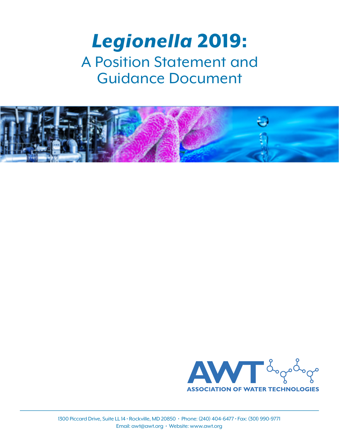# *Legionella* 2019: A Position Statement and Guidance Document



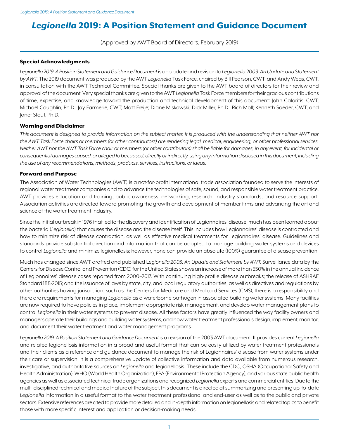# *Legionella* 2019: A Position Statement and Guidance Document

(Approved by AWT Board of Directors, February 2019)

#### Special Acknowledgments

*Legionella 2019: A Position Statement and Guidance Document* is an update and revision to *Legionella 2003: An Update and Statement by AWT*. The 2019 document was produced by the AWT *Legionella* Task Force, chaired by Bill Pearson, CWT, and Andy Weas, CWT, in consultation with the AWT Technical Committee. Special thanks are given to the AWT board of directors for their review and approval of the document. Very special thanks are given to the AWT *Legionella* Task Force members for their gracious contributions of time, expertise, and knowledge toward the production and technical development of this document: John Caloritis, CWT; Michael Coughlin, Ph.D.; Jay Farmerie, CWT; Matt Freije; Diane Miskowski; Dick Miller, Ph.D.; Rich Moll; Kenneth Soeder, CWT; and Janet Stout, Ph.D.

#### Warning and Disclaimer

*This document is designed to provide information on the subject matter. It is produced with the understanding that neither AWT nor the AWT Task Force chairs or members (or other contributors) are rendering legal, medical, engineering, or other professional services. Neither AWT nor the AWT Task Force chair or members (or other contributors) shall be liable for damages, in any event, for incidental or consequential damages caused, or alleged to be caused, directly or indirectly, using any information disclosed in this document, including the use of any recommendations, methods, products, services, instructions, or ideas.*

#### Forward and Purpose

The Association of Water Technologies (AWT) is a not-for-profit international trade association founded to serve the interests of regional water treatment companies and to advance the technologies of safe, sound, and responsible water treatment practice. AWT provides education and training, public awareness, networking, research, industry standards, and resource support. Association activities are directed toward promoting the growth and development of member firms and advancing the art and science of the water treatment industry.

Since the initial outbreak in 1976 that led to the discovery and identification of Legionnaires' disease, much has been learned about the bacteria (*Legionella*) that causes the disease and the disease itself. This includes how Legionnaires' disease is contracted and how to minimize risk of disease contraction, as well as effective medical treatments for Legionnaires' disease. Guidelines and standards provide substantial direction and information that can be adopted to manage building water systems and devices to control *Legionella* and minimize legionellosis; however, none can provide an absolute (100%) guarantee of disease prevention.

Much has changed since AWT drafted and published L*egionella 2003: An Update and Statement by AWT*. Surveillance data by the Centers for Disease Control and Prevention (CDC) for the United States shows an increase of more than 550% in the annual incidence of Legionnaires' disease cases reported from 2000–2017. With continuing high-profile disease outbreaks; the release of ASHRAE Standard 188-2015; and the issuance of laws by state, city, and local regulatory authorities, as well as directives and regulations by other authorities having jurisdiction, such as the Centers for Medicare and Medicaid Services (CMS), there is a responsibility and there are requirements for managing *Legionella* as a waterborne pathogen in associated building water systems. Many facilities are now required to have policies in place, implement appropriate risk management, and develop water management plans to control *Legionella* in their water systems to prevent disease. All these factors have greatly influenced the way facility owners and managers operate their buildings and building water systems, and how water treatment professionals design, implement, monitor, and document their water treatment and water management programs.

Legionella 2019: A Position Statement and Guidance Document is a revision of the 2003 AWT document. It provides current Legionella and related legionellosis information in a broad and useful format that can be easily utilized by water treatment professionals and their clients as a reference and guidance document to manage the risk of Legionnaires' disease from water systems under their care or supervision. It is a comprehensive update of collective information and data available from numerous research, investigative, and authoritative sources on *Legionella* and legionellosis. These include the CDC, OSHA (Occupational Safety and Health Administration), WHO (World Health Organization), EPA (Environmental Protection Agency), and various state public health agencies as well as associated technical trade organizations and recognized *Legionella* experts and commercial entities. Due to the multi-disciplined technical and medical nature of the subject, this document is directed at summarizing and presenting up-to-date *Legionella* information in a useful format to the water treatment professional and end-user as well as to the public and private sectors. Extensive references are cited to provide more detailed and in-depth information on legionellosis and related topics to benefit those with more specific interest and application or decision-making needs.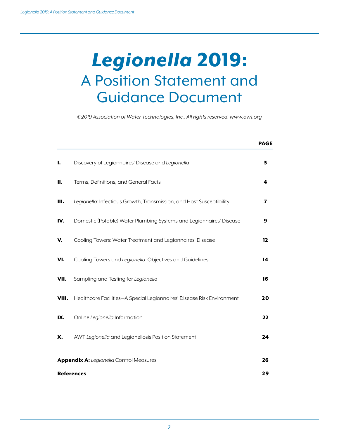# *Legionella* 2019: A Position Statement and Guidance Document

*©2019 Association of Water Technologies, Inc., All rights reserved. www.awt.org*

|                                                |                                                                        | <b>PAGE</b>             |  |  |
|------------------------------------------------|------------------------------------------------------------------------|-------------------------|--|--|
| Τ.                                             | Discovery of Legionnaires' Disease and Legionella                      | 3                       |  |  |
| П.                                             | Terms, Definitions, and General Facts                                  | 4                       |  |  |
| Ш.                                             | Legionella: Infectious Growth, Transmission, and Host Susceptibility   | $\overline{\mathbf{z}}$ |  |  |
| IV.                                            | Domestic (Potable) Water Plumbing Systems and Legionnaires' Disease    | 9                       |  |  |
| v.                                             | Cooling Towers: Water Treatment and Legionnaires' Disease              | 12                      |  |  |
| VI.                                            | Cooling Towers and Legionella: Objectives and Guidelines               | 14                      |  |  |
| VII.                                           | Sampling and Testing for Legionella                                    | 16                      |  |  |
| VIII.                                          | Healthcare Facilities-A Special Legionnaires' Disease Risk Environment | 20                      |  |  |
| IX.                                            | Online Legionella Information                                          | 22                      |  |  |
| Х.                                             | AWT Legionella and Legionellosis Position Statement                    | 24                      |  |  |
| <b>Appendix A:</b> Legionella Control Measures |                                                                        |                         |  |  |
| <b>References</b>                              |                                                                        |                         |  |  |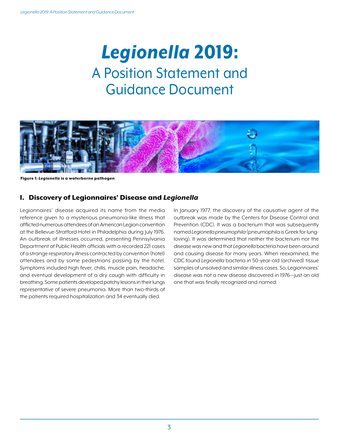# *Legionella* 2019: A Position Statement and Guidance Document



Figure 1: *Legionella* is a waterborne pathogen

# I. Discovery of Legionnaires' Disease and *Legionella*

Legionnaires' disease acquired its name from the media reference given to a mysterious pneumonia-like illness that afflicted numerous attendees of an American Legion convention at the Bellevue-Stratford Hotel in Philadelphia during July 1976. An outbreak of illnesses occurred, presenting Pennsylvania Department of Public Health officials with a recorded 221 cases of a strange respiratory illness contracted by convention (hotel) attendees and by some pedestrians passing by the hotel. Symptoms included high fever, chills, muscle pain, headache, and eventual development of a dry cough with difficulty in breathing. Some patients developed patchy lesions in their lungs representative of severe pneumonia. More than two-thirds of the patients required hospitalization and 34 eventually died.

In January 1977, the discovery of the causative agent of the outbreak was made by the Centers for Disease Control and Prevention (CDC). It was a bacterium that was subsequently named *Legionella pneumophila* (pneumophila is Greek for lungloving). It was determined that neither the bacterium nor the disease was new and that *Legionella* bacteria have been around and causing disease for many years. When reexamined, the CDC found *Legionella* bacteria in 50-year-old (archived) tissue samples of unsolved and similar-illness cases. So, Legionnaires' disease was not a new disease discovered in 1976—just an old one that was finally recognized and named.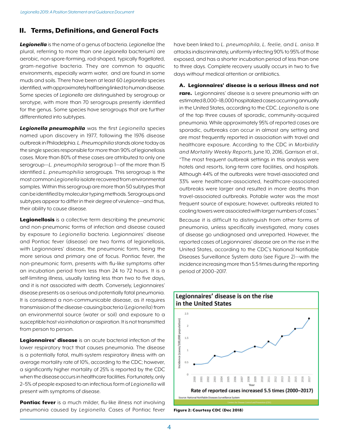# II. Terms, Definitions, and General Facts

*Legionella* is the name of a genus of bacteria. *Legionellae* (the plural, referring to more than one *Legionella* bacterium) are aerobic, non-spore-forming, rod-shaped, typically flagellated, gram-negative bacteria. They are common to aquatic environments, especially warm water, and are found in some muds and soils. There have been at least 60 *Legionella* species identified, with approximately half being linked to human disease. Some species of *Legionella* are distinguished by serogroup or serotype, with more than 70 serogroups presently identified for the genus. Some species have serogroups that are further differentiated into subtypes.

*Legionella pneumophila* was the first *Legionella* species named upon discovery in 1977, following the 1976 disease outbreak in Philadelphia. *L. Pneumophilia* stands alone today as the single species responsible for more than 90% of legionellosis cases. More than 80% of these cases are attributed to only one serogroup—*L. pneumophila* serogroup 1—of the more than 15 identified *L. pneumophilia* serogroups. This serogroup is the most common *Legionella* isolate recovered from environmental samples. Within this serogroup are more than 50 subtypes that can be identified by molecular typing methods. Serogroups and subtypes appear to differ in their degree of virulence—and thus, their ability to cause disease.

Legionellosis is a collective term describing the pneumonic and non-pneumonic forms of infection and disease caused by exposure to *Legionella* bacteria. Legionnaires' disease and Pontiac fever (disease) are two forms of legionellosis, with Legionnaires' disease, the pneumonic form, being the more serious and primary one of focus. Pontiac fever, the non-pneumonic form, presents with flu-like symptoms after an incubation period from less than 24 to 72 hours. It is a self-limiting illness, usually lasting less than two to five days, and it is not associated with death. Conversely, Legionnaires' disease presents as a serious and potentially fatal pneumonia. It is considered a non-communicable disease, as it requires transmission of the disease-causing bacteria (*Legionella*) from an environmental source (water or soil) and exposure to a susceptible host via inhalation or aspiration. It is not transmitted from person to person.

Legionnaires' disease is an acute bacterial infection of the lower respiratory tract that causes pneumonia. The disease is a potentially fatal, multi-system respiratory illness with an average mortality rate of 10%, according to the CDC; however, a significantly higher mortality of 25% is reported by the CDC when the disease occurs in healthcare facilities. Fortunately, only 2–5% of people exposed to an infectious form of *Legionella* will present with symptoms of disease.

**Pontiac fever** is a much milder, flu-like illness not involving pneumonia caused by *Legionella*. Cases of Pontiac fever have been linked to *L. pneumophila, L. feelie,* and *L. anisa*. It attacks indiscriminately, uniformly infecting 90% to 95% of those exposed, and has a shorter incubation period of less than one to three days. Complete recovery usually occurs in two to five days without medical attention or antibiotics.

A. Legionnaires' disease is a serious illness and not rare. Legionnaires' disease is a severe pneumonia with an estimated 8,000–18,000 hospitalized cases occurring annually in the United States, according to the CDC. *Legionella* is one of the top three causes of sporadic, community-acquired pneumonia. While approximately 95% of reported cases are sporadic, outbreaks can occur in almost any setting and are most frequently reported in association with travel and healthcare exposure. According to the CDC in *Morbidity and Mortality Weekly Reports*, June 10, 2016, Garrison et al., "The most frequent outbreak settings in this analysis were hotels and resorts, long-term care facilities, and hospitals. Although 44% of the outbreaks were travel-associated and 33% were healthcare-associated, healthcare-associated outbreaks were larger and resulted in more deaths than travel-associated outbreaks. Potable water was the most frequent source of exposure; however, outbreaks related to cooling towers were associated with larger numbers of cases."

Because it is difficult to distinguish from other forms of pneumonia, unless specifically investigated, many cases of disease go undiagnosed and unreported. However, the reported cases of Legionnaires' disease are on the rise in the United States, according to the CDC's National Notifiable Diseases Surveillance System data (see Figure 2)—with the incidence increasing more than 5.5 times during the reporting period of 2000–2017.



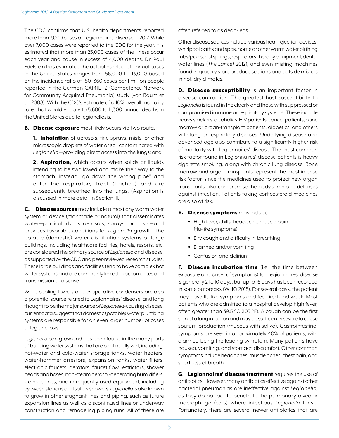The CDC confirms that U.S. health departments reported more than 7,000 cases of Legionnaires' disease in 2017. While over 7,000 cases were reported to the CDC for the year, it is estimated that more than 25,000 cases of the illness occur each year and cause in excess of 4,000 deaths. Dr. Paul Edelstein has estimated the actual number of annual cases in the United States ranges from 56,000 to 113,000 based on the incidence ratio of 180–360 cases per 1 million people reported in the German CAPNETZ (Competence Network for Community Acquired Pneumonia) study (von Baum et al. 2008). With the CDC's estimate of a 10% overall mortality rate, that would equate to 5,600 to 11,300 annual deaths in the United States due to legionellosis.

**B.** Disease exposure most likely occurs via two routes:

1. Inhalation of aerosols, fine sprays, mists, or other microscopic droplets of water or soil contaminated with *Legionella*—providing direct access into the lungs; and

2. Aspiration, which occurs when solids or liquids intending to be swallowed and make their way to the stomach, instead "go down the wrong pipe" and enter the respiratory tract (trachea) and are subsequently breathed into the lungs. (Aspiration is discussed in more detail in Section III.)

C. Disease sources may include almost any warm water system or device (manmade or natural) that disseminates water—particularly as aerosols, sprays, or mists—and provides favorable conditions for *Legionella* growth. The potable (domestic) water distribution systems of large buildings, including healthcare facilities, hotels, resorts, etc. are considered the primary source of *Legionella* and disease, as supported by the CDC and peer-reviewed research studies. These large buildings and facilities tend to have complex hot water systems and are commonly linked to occurrences and transmission of disease.

While cooling towers and evaporative condensers are also a potential source related to Legionnaires' disease, and long thought to be the major source of *Legionella*-causing disease, current data suggest that domestic (potable) water plumbing systems are responsible for an even larger number of cases of legionellosis.

*Legionella* can grow and has been found in the many parts of building water systems that are continually wet, including: hot-water and cold-water storage tanks, water heaters, water-hammer arrestors, expansion tanks, water filters, electronic faucets, aerators, faucet flow restrictors, shower heads and hoses, non-steam aerosol-generating humidifiers, ice machines, and infrequently used equipment, including eyewash stations and safety showers. *Legionella* is also known to grow in other stagnant lines and piping, such as future expansion lines as well as discontinued lines or underway construction and remodeling piping runs. All of these are often referred to as dead-legs.

Other disease sources include: various heat-rejection devices, whirlpool baths and spas, home or other warm water birthing tubs/pools, hot springs, respiratory therapy equipment, dental water lines (*The Lancet* 2012), and even misting machines found in grocery store produce sections and outside misters in hot, dry climates.

D. Disease susceptibility is an important factor in disease contraction. The greatest host susceptibility to *Legionella* is found in the elderly and those with suppressed or compromised immune or respiratory systems. These include heavy smokers, alcoholics, HIV patients, cancer patients, bone marrow or organ-transplant patients, diabetics, and others with lung or respiratory diseases. Underlying disease and advanced age also contribute to a significantly higher risk of mortality with Legionnaires' disease. The most common risk factor found in Legionnaires' disease patients is heavy cigarette smoking, along with chronic lung disease. Bone marrow and organ transplants represent the most intense risk factor, since the medicines used to protect new organ transplants also compromise the body's immune defenses against infection. Patients taking corticosteroid medicines are also at risk.

## **E.** Disease symptoms may include:

- High fever, chills, headache, muscle pain (flu-like symptoms)
- Dry cough and difficulty in breathing
- Diarrhea and/or vomiting
- Confusion and delirium

F. Disease incubation time (i.e., the time between exposure and onset of symptoms) for Legionnaires' disease is generally 2 to 10 days, but up to 16 days has been recorded in some outbreaks (WHO 2018). For several days, the patient may have flu-like symptoms and feel tired and weak. Most patients who are admitted to a hospital develop high fever, often greater than 39.5 °C (103 °F). A cough can be the first sign of a lung infection and may be sufficiently severe to cause sputum production (mucous with saliva). Gastrointestinal symptoms are seen in approximately 40% of patients, with diarrhea being the leading symptom. Many patients have nausea, vomiting, and stomach discomfort. Other common symptoms include headaches, muscle aches, chest pain, and shortness of breath.

**G.** Legionnaires' disease treatment requires the use of antibiotics. However, many antibiotics effective against other bacterial pneumonias are ineffective against *Legionella*, as they do not act to penetrate the pulmonary alveolar macrophage (cells) where infectious *Legionella* thrive. Fortunately, there are several newer antibiotics that are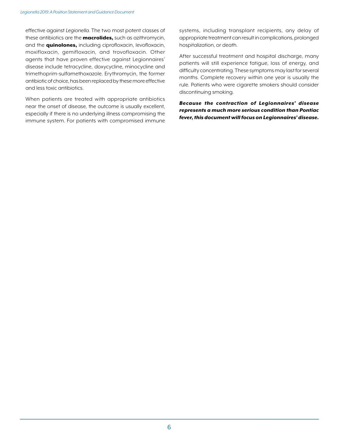effective against *Legionella*. The two most potent classes of these antibiotics are the **macrolides**, such as azithromycin, and the **quinolones,** including ciprofloxacin, levofloxacin, moxifloxacin, gemifloxacin, and trovofloxacin. Other agents that have proven effective against Legionnaires' disease include tetracycline, doxycycline, minocycline and trimethoprim-sulfamethoxazole. Erythromycin, the former antibiotic of choice, has been replaced by these more effective and less toxic antibiotics.

When patients are treated with appropriate antibiotics near the onset of disease, the outcome is usually excellent, especially if there is no underlying illness compromising the immune system. For patients with compromised immune systems, including transplant recipients, any delay of appropriate treatment can result in complications, prolonged hospitalization, or death.

After successful treatment and hospital discharge, many patients will still experience fatigue, loss of energy, and difficulty concentrating. These symptoms may last for several months. Complete recovery within one year is usually the rule. Patients who were cigarette smokers should consider discontinuing smoking.

*Because the contraction of Legionnaires' disease represents a much more serious condition than Pontiac fever, this document will focus on Legionnaires' disease.*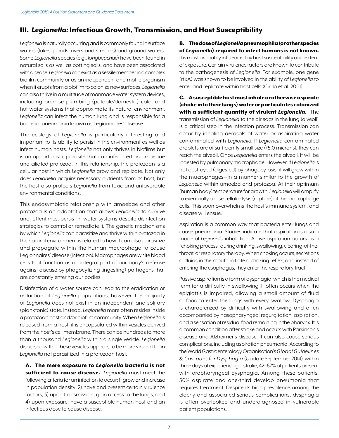# III. *Legionella:* Infectious Growth, Transmission, and Host Susceptibility

*Legionella* is naturally occurring and is commonly found in surface waters (lakes, ponds, rivers and streams) and ground waters. Some *Legionella* species (e.g., *longbeachae*) have been found in natural soils as well as potting soils, and have been associated with disease. *Legionella* can exist as a sessile member in a complex biofilm community or as an independent and motile organism when it erupts from a biofilm to colonize new surfaces. *Legionella* can also thrive in a multitude of manmade water system devices, including premise plumbing (potable/domestic) cold, and hot water systems that approximate its natural environment. *Legionella* can infect the human lung and is responsible for a bacterial pneumonia known as Legionnaires' disease.

The ecology of *Legionella* is particularly interesting and important to its ability to persist in the environment as well as infect human hosts. *Legionella* not only thrives in biofilms but is an opportunistic parasite that can infect certain amoebae and ciliated protozoa. In this relationship, the protozoan is a cellular host in which *Legionella* grow and replicate. Not only does *Legionella* acquire necessary nutrients from its host, but the host also protects *Legionella* from toxic and unfavorable environmental conditions.

This endosymbiotic relationship with amoebae and other protozoa is an adaptation that allows *Legionella* to survive and, oftentimes, persist in water systems despite disinfection strategies to control or remediate it. The genetic mechanisms by which *Legionella* can parasitize and thrive within protozoa in the natural environment is related to how it can also parasitize and propagate within the human macrophage to cause Legionnaires' disease (infection). Macrophages are white blood cells that function as an integral part of our body's defense against disease by phagocytizing (ingesting) pathogens that are constantly entering our bodies.

Disinfection of a water source can lead to the eradication or reduction of *Legionella* populations; however, the majority of *Legionella* does not exist in an independent and solitary (planktonic) state. Instead, *Legionella* more often resides inside a protozoan host and/or biofilm community. When *Legionella* is released from a host, it is encapsulated within vesicles derived from the host's cell membrane. There can be hundreds to more than a thousand *Legionella* within a single vesicle. *Legionella* dispersed within these vesicles appears to be more virulent than *Legionella* not parasitized in a protozoan host.

A. The mere exposure to *Legionella* bacteria is not sufficient to cause disease. *Legionella* must meet the following criteria for an infection to occur: 1) grow and increase in population density; 2) have and present certain virulence factors; 3) upon transmission, gain access to the lungs; and 4) upon exposure, have a susceptible human host and an infectious dose to cause disease.

B. The dose of *Legionella* pneumophila (or other species of *Legionella*) required to infect humans is not known. It is most probably influenced by host susceptibility and extent of exposure. Certain virulence factors are known to contribute to the pathogenesis of *Legionella*. For example, one gene (rtxA) was shown to be involved in the ability of *Legionella* to enter and replicate within host cells (Cirillo et al. 2001).

C. A susceptible host must inhale or otherwise aspirate (choke into their lungs) water or particulates colonized with a sufficient quantity of virulent *Legionella*. The transmission of *Legionella* to the air sacs in the lung (alveoli) is a critical step in the infection process. Transmission can occur by inhaling aerosols of water or aspirating water contaminated with *Legionella*. If *Legionella*-contaminated droplets are of sufficiently small size (<5.0 microns), they can reach the alveoli. Once *Legionella* enters the alveoli, it will be ingested by pulmonary macrophage. However, if *Legionella* is not destroyed (digested) by phagocytosis, it will grow within the macrophages—in a manner similar to the growth of *Legionella* within amoeba and protozoa. At their optimum (human body) temperature for growth, *Legionella* will amplify to eventually cause cellular lysis (rupture) of the macrophage cells. This soon overwhelms the host's immune system, and disease will ensue.

Aspiration is a common way that bacteria enter lungs and cause pneumonia. Studies indicate that aspiration is also a mode of *Legionella* inhalation. Active aspiration occurs as a "choking process" during drinking, swallowing, clearing-of-thethroat, or respiratory therapy. When choking occurs, secretions or fluids in the mouth initiate a choking reflex, and instead of entering the esophagus, they enter the respiratory tract.

Passive aspiration is a form of dysphagia, which is the medical term for a difficulty in swallowing. It often occurs when the epiglottis is impaired, allowing a small amount of fluid or food to enter the lungs with every swallow. Dysphagia is characterized by difficulty with swallowing and often accompanied by nasopharyngeal regurgitation, aspiration, and a sensation of residual food remaining in the pharynx. It is a common condition after stroke and occurs with Parkinson's disease and Alzheimer's disease. It can also cause serious complications, including aspiration pneumonia. According to the World Gastroenterology Organisation's *Global Guidelines & Cascades for Dysphagia* (Update September 2014), within three days of experiencing a stroke, 42–67% of patients present with oropharyngeal dysphagia. Among these patients, 50% aspirate and one-third develop pneumonia that requires treatment. Despite its high prevalence among the elderly and associated serious complications, dysphagia is often overlooked and underdiagnosed in vulnerable patient populations.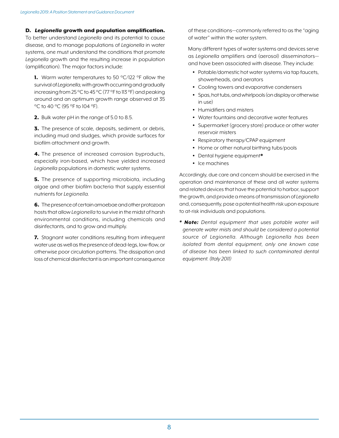# D. *Legionella* growth and population amplification.

To better understand *Legionella* and its potential to cause disease, and to manage populations of *Legionella* in water systems, one must understand the conditions that promote *Legionella* growth and the resulting increase in population (amplification). The major factors include:

1. Warm water temperatures to 50 °C/122 °F allow the survival of *Legionella*, with growth occurring and gradually increasing from 25 °C to 45 °C (77 °F to 113 °F) and peaking around and an optimum growth range observed at 35 °C to 40 °C (95 °F to 104 °F).

2. Bulk water pH in the range of 5.0 to 8.5.

**3.** The presence of scale, deposits, sediment, or debris, including mud and sludges, which provide surfaces for biofilm attachment and growth.

4. The presence of increased corrosion byproducts, especially iron-based, which have yielded increased *Legionella* populations in domestic water systems.

**5.** The presence of supporting microbiota, including algae and other biofilm bacteria that supply essential nutrients for *Legionella*.

6. The presence of certain amoebae and other protozoan hosts that allow *Legionella* to survive in the midst of harsh environmental conditions, including chemicals and disinfectants, and to grow and multiply.

7. Stagnant water conditions resulting from infrequent water use as well as the presence of dead-legs, low-flow, or otherwise poor circulation patterns. The dissipation and loss of chemical disinfectant is an important consequence of these conditions—commonly referred to as the "aging of water" within the water system.

Many different types of water systems and devices serve as *Legionella* amplifiers and (aerosol) disseminators and have been associated with disease. They include:

- Potable/domestic hot water systems via tap faucets, showerheads, and aerators
- Cooling towers and evaporative condensers
- Spas, hot tubs, and whirlpools (on display or otherwise  $in$   $use)$
- Humidifiers and misters
- Water fountains and decorative water features
- Supermarket (grocery store) produce or other water reservoir misters
- Respiratory therapy/CPAP equipment
- Home or other natural birthing tubs/pools
- Dental hygiene equipment\*
- Ice machines

Accordingly, due care and concern should be exercised in the operation and maintenance of these and all water systems and related devices that have the potential to harbor, support the growth, and provide a means of transmission of *Legionella* and, consequently, pose a potential health risk upon exposure to at-risk individuals and populations.

*\* Note: Dental equipment that uses potable water will generate water mists and should be considered a potential source of Legionella. Although Legionella has been isolated from dental equipment, only one known case of disease has been linked to such contaminated dental equipment. (Italy 2011)*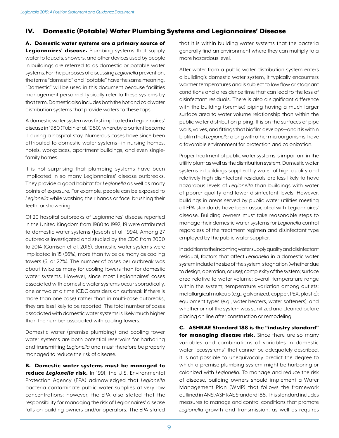# IV. Domestic (Potable) Water Plumbing Systems and Legionnaires' Disease

A. Domestic water systems are a primary source of Legionnaires' disease. Plumbing systems that supply water to faucets, showers, and other devices used by people in buildings are referred to as domestic or potable water systems. For the purposes of discussing *Legionella* prevention, the terms "domestic" and "potable" have the same meaning. "Domestic" will be used in this document because facilities management personnel typically refer to these systems by that term. Domestic also includes both the hot and cold water distribution systems that provide waters to these taps.

A domestic water system was first implicated in Legionnaires' disease in 1980 (Tobin et al. 1980), whereby a patient became ill during a hospital stay. Numerous cases have since been attributed to domestic water systems—in nursing homes, hotels, workplaces, apartment buildings, and even singlefamily homes.

It is not surprising that plumbing systems have been implicated in so many Legionnaires' disease outbreaks. They provide a good habitat for *Legionella* as well as many points of exposure. For example, people can be exposed to *Legionella* while washing their hands or face, brushing their teeth, or showering.

Of 20 hospital outbreaks of Legionnaires' disease reported in the United Kingdom from 1980 to 1992, 19 were attributed to domestic water systems (Joseph et al. 1994). Among 27 outbreaks investigated and studied by the CDC from 2000 to 2014 (Garrison et al. 2016), domestic water systems were implicated in 15 (56%), more than twice as many as cooling towers (6, or 22%). The number of cases per outbreak was about twice as many for cooling towers than for domestic water systems. However, since most Legionnaires' cases associated with domestic water systems occur sporadically, one or two at a time (CDC considers an outbreak if there is more than one case) rather than in multi-case outbreaks, they are less likely to be reported. The total number of cases associated with domestic water systems is likely much higher than the number associated with cooling towers.

Domestic water (premise plumbing) and cooling tower water systems are both potential reservoirs for harboring and transmitting *Legionella* and must therefore be properly managed to reduce the risk of disease.

B. Domestic water systems must be managed to reduce *Legionella* risk. In 1991, the U.S. Environmental Protection Agency (EPA) acknowledged that *Legionella* bacteria contaminate public water supplies at very low concentrations; however, the EPA also stated that the responsibility for managing the risk of Legionnaires' disease falls on building owners and/or operators. The EPA stated that it is within building water systems that the bacteria generally find an environment where they can multiply to a more hazardous level.

After water from a public water distribution system enters a building's domestic water system, it typically encounters warmer temperatures and is subject to low flow or stagnant conditions and a residence time that can lead to the loss of disinfectant residuals. There is also a significant difference with the building (premise) piping having a much larger surface area to water volume relationship than within the public water distribution piping. It is on the surfaces of pipe walls, valves, and fittings that biofilm develops—and it is within biofilm that *Legionella*, along with other microorganisms, have a favorable environment for protection and colonization.

Proper treatment of public water systems is important in the utility plant as well as the distribution system. Domestic water systems in buildings supplied by water of high quality and relatively high disinfectant residuals are less likely to have hazardous levels of *Legionella* than buildings with water of poorer quality and lower disinfectant levels. However, buildings in areas served by public water utilities meeting all EPA standards have been associated with Legionnaires' disease. Building owners must take reasonable steps to manage their domestic water systems for *Legionella* control regardless of the treatment regimen and disinfectant type employed by the public water supplier.

In addition to the incoming water supply quality and disinfectant residual, factors that affect *Legionella* in a domestic water system include the size of the system; stagnation (whether due to design, operation, or use); complexity of the system; surface area relative to water volume; overall temperature range within the system; temperature variation among outlets; metallurgical makeup (e.g., galvanized, copper, PEX, plastic); equipment types (e.g., water heaters, water softeners); and whether or not the system was sanitized and cleaned before placing on line after construction or remodeling.

C. ASHRAE Standard 188 is the "industry standard" for managing disease risk. Since there are so many variables and combinations of variables in domestic water "ecosystems" that cannot be adequately described, it is not possible to unequivocally predict the degree to which a premise plumbing system might be harboring or colonized with *Legionella*. To manage and reduce the risk of disease, building owners should implement a Water Management Plan (WMP) that follows the framework outlined in ANSI/ASHRAE Standard 188. This standard includes measures to manage and control conditions that promote *Legionella* growth and transmission, as well as requires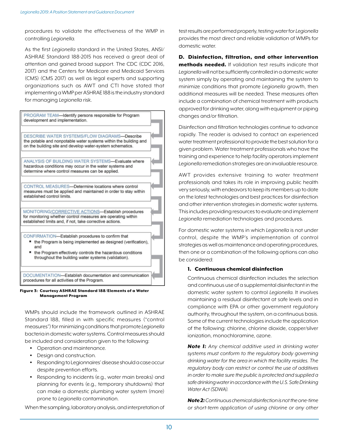procedures to validate the effectiveness of the WMP in controlling *Legionella*.

As the first *Legionella* standard in the United States, ANSI/ ASHRAE Standard 188-2015 has received a great deal of attention and gained broad support. The CDC (CDC 2016, 2017) and the Centers for Medicare and Medicaid Services (CMS) (CMS 2017) as well as legal experts and supporting organizations such as AWT and CTI have stated that implementing a WMP per ASHRAE 188 is the industry standard for managing *Legionella* risk.



Figure 3: Courtesy ASHRAE Standard 188/Elements of a Water Management Program

WMPs should include the framework outlined in ASHRAE Standard 188, filled in with specific measures ("control measures") for minimizing conditions that promote *Legionella* bacteria in domestic water systems. Control measures should be included and consideration given to the following:

- Operation and maintenance.
- Design and construction.
- Responding to Legionnaires' disease should a case occur despite prevention efforts.
- Responding to incidents (e.g., water main breaks) and planning for events (e.g., temporary shutdowns) that can make a domestic plumbing water system (more) prone to *Legionella* contamination.

When the sampling, laboratory analysis, and interpretation of

test results are performed properly, testing water for *Legionella* provides the most direct and reliable validation of WMPs for domestic water.

D. Disinfection, filtration, and other intervention methods needed. If validation test results indicate that *Legionella* will not be sufficiently controlled in a domestic water system simply by operating and maintaining the system to minimize conditions that promote *Legionella* growth, then additional measures will be needed. These measures often include a combination of chemical treatment with products approved for drinking water, along with equipment or piping changes and/or filtration.

Disinfection and filtration technologies continue to advance rapidly. The reader is advised to contact an experienced water treatment professional to provide the best solution for a given problem. Water treatment professionals who have the training and experience to help facility operators implement *Legionella* remediation strategies are an invaluable resource.

AWT provides extensive training to water treatment professionals and takes its role in improving public health very seriously, with endeavors to keep its members up to date on the latest technologies and best practices for disinfection and other intervention strategies in domestic water systems. This includes providing resources to evaluate and implement *Legionella* remediation technologies and procedures.

For domestic water systems in which *Legionella* is not under control, despite the WMP's implementation of control strategies as well as maintenance and operating procedures, then one or a combination of the following options can also be considered:

## 1. Continuous chemical disinfection

Continuous chemical disinfection includes the selection and continuous use of a supplemental disinfectant in the domestic water system to control *Legionella*. It involves maintaining a residual disinfectant at safe levels and in compliance with EPA or other government regulatory authority, throughout the system, on a continuous basis. Some of the current technologies include the application of the following: chlorine, chlorine dioxide, copper/silver ionization, monochloramine, ozone.

*Note 1: Any chemical additive used in drinking water systems must conform to the regulatory body governing drinking water for the area in which the facility resides. The regulatory body can restrict or control the use of additives in order to make sure the public is protected and supplied a safe drinking water in accordance with the U.S. Safe Drinking Water Act (SDWA).*

*Note 2: Continuous chemical disinfection is not the one-time or short-term application of using chlorine or any other*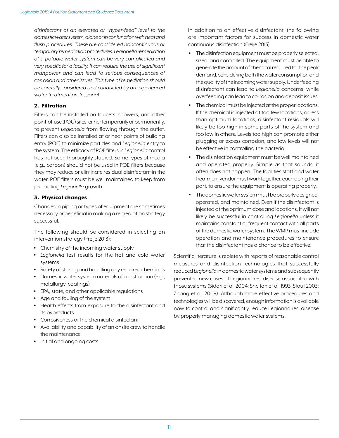*disinfectant at an elevated or "hyper-feed" level to the domestic water system, alone or in conjunction with heat and flush procedures. These are considered noncontinuous or temporary remediation procedures. Legionella remediation of a potable water system can be very complicated and very specific for a facility. It can require the use of significant manpower and can lead to serious consequences of corrosion and other issues. This type of remediation should be carefully considered and conducted by an experienced water treatment professional.*

## 2. Filtration

Filters can be installed on faucets, showers, and other point-of-use (POU) sites, either temporarily or permanently, to prevent *Legionella* from flowing through the outlet. Filters can also be installed at or near points of building entry (POE) to minimize particles and *Legionella* entry to the system. The efficacy of POE filters in *Legionella* control has not been thoroughly studied. Some types of media (e.g., carbon) should not be used in POE filters because they may reduce or eliminate residual disinfectant in the water. POE filters must be well maintained to keep from promoting *Legionella* growth.

## 3. Physical changes

Changes in piping or types of equipment are sometimes necessary or beneficial in making a remediation strategy successful.

The following should be considered in selecting an intervention strategy (Freije 2013):

- Chemistry of the incoming water supply
- *Legionella* test results for the hot and cold water systems
- Safety of storing and handling any required chemicals
- Domestic water system materials of construction (e.g., metallurgy, coatings)
- EPA, state, and other applicable regulations
- Age and fouling of the system
- Health effects from exposure to the disinfectant and its byproducts
- Corrosiveness of the chemical disinfectant
- Availability and capability of an onsite crew to handle the maintenance
- Initial and ongoing costs

In addition to an effective disinfectant, the following are important factors for success in domestic water continuous disinfection (Freije 2013):

- The disinfection equipment must be properly selected, sized, and controlled. The equipment must be able to generate the amount of chemical required for the peak demand, considering both the water consumption and the quality of the incoming water supply. Underfeeding disinfectant can lead to *Legionella* concerns, while overfeeding can lead to corrosion and deposit issues.
- The chemical must be injected at the proper locations. If the chemical is injected at too few locations, or less than optimum locations, disinfectant residuals will likely be too high in some parts of the system and too low in others. Levels too high can promote either plugging or excess corrosion, and low levels will not be effective in controlling the bacteria.
- The disinfection equipment must be well maintained and operated properly. Simple as that sounds, it often does not happen. The facilities staff and water treatment vendor must work together, each doing their part, to ensure the equipment is operating properly.
- The domestic water system must be properly designed, operated, and maintained. Even if the disinfectant is injected at the optimum dose and locations, it will not likely be successful in controlling *Legionella* unless it maintains constant or frequent contact with all parts of the domestic water system. The WMP must include operation and maintenance procedures to ensure that the disinfectant has a chance to be effective.

Scientific literature is replete with reports of reasonable control measures and disinfection technologies that successfully reduced *Legionella* in domestic water systems and subsequently prevented new cases of Legionnaires' disease associated with those systems (Sidari et al. 2004; Shelton et al. 1993; Stout 2003; Zhang et al. 2009). Although more effective procedures and technologies will be discovered, enough information is available now to control and significantly reduce Legionnaires' disease by properly managing domestic water systems.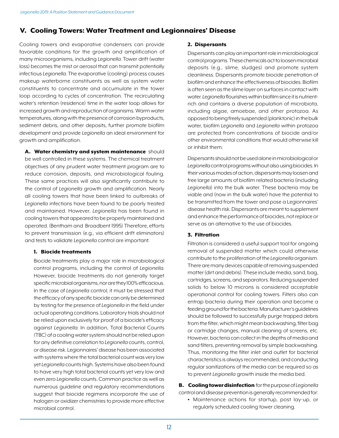# V. Cooling Towers: Water Treatment and Legionnaires' Disease

Cooling towers and evaporative condensers can provide favorable conditions for the growth and amplification of many microorganisms, including *Legionella*. Tower drift (water loss) becomes the mist or aerosol that can transmit potentially infectious *Legionella*. The evaporative (cooling) process causes makeup waterborne constituents as well as system water constituents to concentrate and accumulate in the tower loop according to cycles of concentration. The recirculating water's retention (residence) time in the water loop allows for increased growth and reproduction of organisms. Warm water temperatures, along with the presence of corrosion byproducts, sediment debris, and other deposits, further promote biofilm development and provide *Legionella* an ideal environment for growth and amplification.

A. Water chemistry and system maintenance should be well controlled in these systems. The chemical treatment objectives of any prudent water treatment program are to reduce corrosion, deposits, and microbiological fouling. These same practices will also significantly contribute to the control of *Legionella* growth and amplification. Nearly all cooling towers that have been linked to outbreaks of *Legionella* infections have been found to be poorly treated and maintained. However, *Legionella* has been found in cooling towers that appeared to be properly maintained and operated. (Bentham and Broadbent 1995) Therefore, efforts to prevent transmission (e.g., via efficient drift eliminators) and tests to validate *Legionella* control are important.

## 1. Biocide treatments

Biocide treatments play a major role in microbiological control programs, including the control of *Legionella*. However, biocide treatments do not generally target specific microbial organisms, nor are they 100% efficacious. In the case of *Legionella* control, it must be stressed that the efficacy of any specific biocide can only be determined by testing for the presence of *Legionella* in the field under actual operating conditions. Laboratory trials should not be relied upon exclusively for proof of a biocide's efficacy against *Legionella*. In addition, Total Bacterial Counts (TBC) of a cooling water system should not be relied upon for any definitive correlation to *Legionella* counts, control, or disease risk. Legionnaires' disease has been associated with systems where the total bacterial count was very low yet *Legionella* counts high. Systems have also been found to have very high total bacterial counts yet very low and even zero *Legionella* counts. Common practice as well as numerous guideline and regulatory recommendations suggest that biocide regimens incorporate the use of halogen or oxidizer chemistries to provide more effective microbial control.

## 2. Dispersants

Dispersants can play an important role in microbiological control programs. These chemicals act to loosen microbial deposits (e.g., slime, sludges) and promote system cleanliness. Dispersants promote biocide penetration of biofilm and enhance the effectiveness of biocides. Biofilm is often seen as the slime layer on surfaces in contact with water. *Legionella* flourishes within biofilm since it is nutrientrich and contains a diverse population of microbiota, including algae, amoebae, and other protozoa. As opposed to being freely suspended (planktonic) in the bulk water, biofilm *Legionella* and *Legionella* within protozoa are protected from concentrations of biocide and/or other environmental conditions that would otherwise kill or inhibit them.

Dispersants should not be used alone in microbiological or *Legionella* control programs without also using biocides. In their various modes of action, dispersants may loosen and free large amounts of biofilm related bacteria (including *Legionella*) into the bulk water. These bacteria may be viable and (now in the bulk water) have the potential to be transmitted from the tower and pose a Legionnaires' disease health risk. Dispersants are meant to supplement and enhance the performance of biocides, not replace or serve as an alternative to the use of biocides.

# 3. Filtration

Filtration is considered a useful support tool for ongoing removal of suspended matter which could otherwise contribute to the proliferation of the *Legionella* organism. There are many devices capable of removing suspended matter (dirt and debris). These include media, sand, bag, cartridges, screens, and separators. Reducing suspended solids to below 10 microns is considered acceptable operational control for cooling towers. Filters also can entrap bacteria during their operation and become a feeding ground for the bacteria. Manufacturer's guidelines should be followed to successfully purge trapped debris from the filter, which might mean backwashing, filter bag or cartridge changes, manual cleaning of screens, etc. However, bacteria can collect in the depths of media and sand filters, preventing removal by simple backwashing. Thus, monitoring the filter inlet and outlet for bacterial characteristics is always recommended, and conducting regular sanitizations of the media can be required so as to prevent *Legionella* growth inside the media bed.

B. Cooling tower disinfection for the purpose of *Legionella* control and disease prevention is generally recommended for:

• Maintenance actions for startup, post lay-up, or regularly scheduled cooling tower cleaning.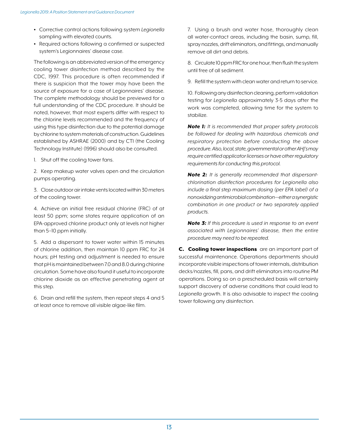- Corrective control actions following system *Legionella* sampling with elevated counts.
- Required actions following a confirmed or suspected system's Legionnaires' disease case.

The following is an abbreviated version of the emergency cooling tower disinfection method described by the CDC, 1997. This procedure is often recommended if there is suspicion that the tower may have been the source of exposure for a case of Legionnaires' disease. The complete methodology should be previewed for a full understanding of the CDC procedure. It should be noted, however, that most experts differ with respect to the chlorine levels recommended and the frequency of using this type disinfection due to the potential damage by chlorine to system materials of construction. Guidelines established by ASHRAE (2000) and by CTI (the Cooling Technology Institute) (1996) should also be consulted.

1. Shut off the cooling tower fans.

2. Keep makeup water valves open and the circulation pumps operating.

3. Close outdoor air intake vents located within 30 meters of the cooling tower.

4. Achieve an initial free residual chlorine (FRC) of at least 50 ppm; some states require application of an EPA-approved chlorine product only at levels not higher than 5–10 ppm initially.

5. Add a dispersant to tower water within 15 minutes of chlorine addition, then maintain 10 ppm FRC for 24 hours; pH testing and adjustment is needed to ensure that pH is maintained between 7.0 and 8.0 during chlorine circulation. Some have also found it useful to incorporate chlorine dioxide as an effective penetrating agent at this step.

6. Drain and refill the system, then repeat steps 4 and 5 at least once to remove all visible algae-like film.

7. Using a brush and water hose, thoroughly clean all water-contact areas, including the basin, sump, fill, spray nozzles, drift eliminators, and fittings, and manually remove all dirt and debris.

8. Circulate 10 ppm FRC for one hour, then flush the system until free of all sediment.

9. Refill the system with clean water and return to service.

10. Following any disinfection cleaning, perform validation testing for *Legionella* approximately 3-5 days after the work was completed, allowing time for the system to stabilize.

*Note 1: It is recommended that proper safety protocols be followed for dealing with hazardous chemicals and respiratory protection before conducting the above procedure. Also, local, state, governmental or other AHJ's may require certified applicator licenses or have other regulatory requirements for conducting this protocol.*

*Note 2: It is generally recommended that dispersantchlorination disinfection procedures for Legionella also include a final step maximum dosing (per EPA label) of a nonoxidizing antimicrobial combination—either a synergistic combination in one product or two separately applied products.*

*Note 3: If this procedure is used in response to an event associated with Legionnaires' disease, then the entire procedure may need to be repeated.*

C. Cooling tower inspections are an important part of successful maintenance. Operations departments should incorporate visible inspections of tower internals, distribution decks/nozzles, fill, pans, and drift eliminators into routine PM operations. Doing so on a prescheduled basis will certainly support discovery of adverse conditions that could lead to *Legionella* growth. It is also advisable to inspect the cooling tower following any disinfection.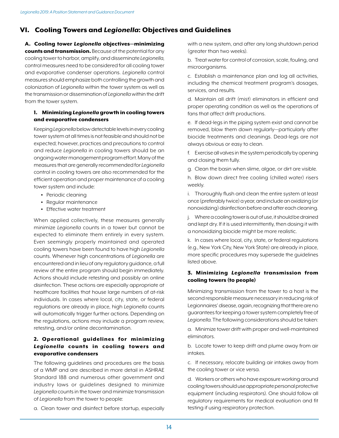# VI. Cooling Towers and *Legionella*: Objectives and Guidelines

A. Cooling tower *Legionella* objectives—minimizing counts and transmission. Because of the potential for any cooling tower to harbor, amplify, and disseminate *Legionella*, control measures need to be considered for all cooling tower and evaporative condenser operations. *Legionella* control measures should emphasize both controlling the growth and colonization of *Legionella* within the tower system as well as the transmission or dissemination of *Legionella* within the drift from the tower system.

# 1. Minimizing *Legionella* growth in cooling towers and evaporative condensers

Keeping *Legionella* below detectable levels in every cooling tower system at all times is not feasible and should not be expected; however, practices and precautions to control and reduce *Legionella* in cooling towers should be an ongoing water management program effort. Many of the measures that are generally recommended for *Legionella* control in cooling towers are also recommended for the efficient operation and proper maintenance of a cooling tower system and include:

- Periodic cleaning
- Regular maintenance
- Effective water treatment

When applied collectively, these measures generally minimize *Legionella* counts in a tower but cannot be expected to eliminate them entirely in every system. Even seemingly properly maintained and operated cooling towers have been found to have high *Legionella* counts. Whenever high concentrations of *Legionella* are encountered and in lieu of any regulatory guidance, a full review of the entire program should begin immediately. Actions should include retesting and possibly an online disinfection. These actions are especially appropriate at healthcare facilities that house large numbers of at-risk individuals. In cases where local, city, state, or federal regulations are already in place, high *Legionella* counts will automatically trigger further actions. Depending on the regulations, actions may include a program review, retesting, and/or online decontamination.

# 2. Operational guidelines for minimizing *Legionella* counts in cooling towers and evaporative condensers

The following guidelines and procedures are the basis of a WMP and are described in more detail in ASHRAE Standard 188 and numerous other government and industry laws or guidelines designed to minimize *Legionella* counts in the tower and minimize transmission of *Legionella* from the tower to people:

a. Clean tower and disinfect before startup, especially

with a new system, and after any long shutdown period (greater than two weeks).

b. Treat water for control of corrosion, scale, fouling, and microorganisms.

c. Establish a maintenance plan and log all activities, including the chemical treatment program's dosages, services, and results.

d. Maintain all drift (mist) eliminators in efficient and proper operating condition as well as the operations of fans that affect drift productions.

e. If dead-legs in the piping system exist and cannot be removed, blow them down regularly—particularly after biocide treatments and cleanings. Dead-legs are not always obvious or easy to clean.

f. Exercise all valves in the system periodically by opening and closing them fully.

g. Clean the basin when slime, algae, or dirt are visible.

h. Blow down direct free cooling (chilled water) risers weekly.

i. Thoroughly flush and clean the entire system at least once (preferably twice) a year, and include an oxidizing (or nonoxidizing) disinfection before and after each cleaning.

j. Where a cooling tower is out of use, it should be drained and kept dry. If it is used intermittently, then dosing it with a nonoxidizing biocide might be more realistic.

k. In cases where local, city, state, or federal regulations (e.g., New York City, New York State) are already in place, more specific procedures may supersede the guidelines listed above.

# 3. Minimizing *Legionella* transmission from cooling towers (to people)

Minimizing transmission from the tower to a host is the second responsible measure necessary in reducing risk of Legionnaires' disease, again, recognizing that there are no guarantees for keeping a tower system completely free of *Legionella*. The following considerations should be taken:

a. Minimize tower drift with proper and well-maintained eliminators.

b. Locate tower to keep drift and plume away from air intakes.

c. If necessary, relocate building air intakes away from the cooling tower or vice versa.

d. Workers or others who have exposure working around cooling towers should use appropriate personal protective equipment (including respirators). One should follow all regulatory requirements for medical evaluation and fit testing if using respiratory protection.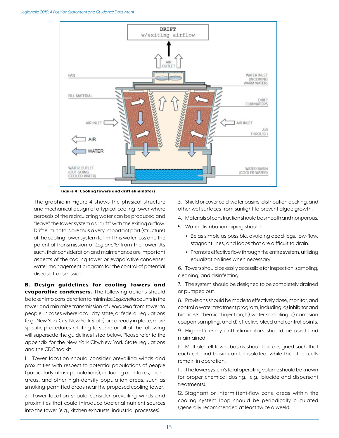

Figure 4: Cooling towers and drift eliminators

The graphic in Figure 4 shows the physical structure and mechanical design of a typical cooling tower where aerosols of the recirculating water can be produced and "leave" the tower system as "drift" with the exiting airflow. Drift eliminators are thus a very important part (structure) of the cooling tower system to limit this water loss and the potential transmission of *Legionella* from the tower. As such, their consideration and maintenance are important aspects of the cooling tower or evaporative condenser water management program for the control of potential disease transmission.

B. Design guidelines for cooling towers and evaporative condensers. The following actions should be taken into consideration to minimize *Legionella* counts in the tower and minimize transmission of *Legionella* from tower to people. In cases where local, city, state, or federal regulations (e.g., New York City, New York State) are already in place, more specific procedures relating to some or all of the following will supersede the guidelines listed below. Please refer to the appendix for the New York City/New York State regulations and the CDC toolkit.

1. Tower location should consider prevailing winds and proximities with respect to potential populations of people (particularly at-risk populations), including air intakes, picnic areas, and other high-density population areas, such as smoking-permitted areas near the proposed cooling tower.

2. Tower location should consider prevailing winds and proximities that could introduce bacterial nutrient sources into the tower (e.g., kitchen exhausts, industrial processes).

3. Shield or cover cold-water basins, distribution decking, and other wet surfaces from sunlight to prevent algae growth.

- 4. Materials of construction should be smooth and nonporous.
- 5. Water distribution piping should:
	- Be as simple as possible, avoiding dead-legs, low-flow, stagnant lines, and loops that are difficult to drain.
	- Promote effective flow through the entire system, utilizing equalization lines when necessary

6. Towers should be easily accessible for inspection, sampling, cleaning, and disinfecting.

7. The system should be designed to be completely drained or pumped out.

8. Provisions should be made to effectively dose, monitor, and control a water treatment program, including: a) inhibitor and biocide/s chemical injection, b) water sampling, c) corrosion coupon sampling, and d) effective bleed and control points.

9. High-efficiency drift eliminators should be used and maintained.

10. Multiple-cell tower basins should be designed such that each cell and basin can be isolated, while the other cells remain in operation.

11. The tower system's total operating volume should be known for proper chemical dosing, (e.g., biocide and dispersant treatments).

12. Stagnant or intermittent-flow zone areas within the cooling system loop should be periodically circulated (generally recommended at least twice a week).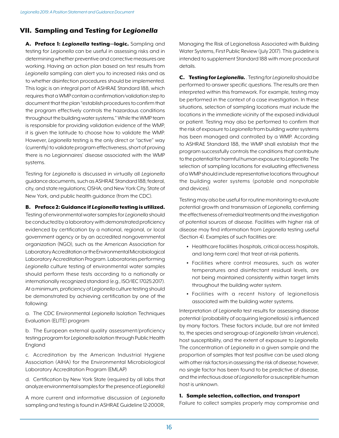# VII. Sampling and Testing for *Legionella*

A. Preface 1: *Legionella* testing—logic. Sampling and testing for *Legionella* can be useful in assessing risks and in determining whether preventive and corrective measures are working. Having an action plan based on test results from *Legionella* sampling can alert you to increased risks and as to whether disinfection procedures should be implemented. This logic is an integral part of ASHRAE Standard 188, which requires that a WMP contain a confirmation/validation step to document that the plan "establish procedures to confirm that the program effectively controls the hazardous conditions throughout the building water systems." While the WMP team is responsible for providing validation evidence of the WMP, it is given the latitude to choose how to validate the WMP. However, *Legionella* testing is the only direct or "active" way (currently) to validate program effectiveness, short of proving there is no Legionnaires' disease associated with the WMP systems.

Testing for *Legionella* is discussed in virtually all *Legionella* guidance documents, such as ASHRAE Standard 188; federal, city, and state regulations; OSHA; and New York City, State of New York, and public health guidance (from the CDC).

## B. Preface 2: Guidance if *Legionella* testing is utilized.

Testing of environmental water samples for *Legionella* should be conducted by a laboratory with demonstrated proficiency evidenced by certification by a national, regional, or local government agency or by an accredited nongovernmental organization (NGO), such as the American Association for Laboratory Accreditation or the Environmental Microbiological Laboratory Accreditation Program. Laboratories performing *Legionella* culture testing of environmental water samples should perform these tests according to a nationally or internationally recognized standard (e.g., ISO/IEC 17025:2017). At a minimum, proficiency of *Legionella* culture testing should be demonstrated by achieving certification by one of the following:

a. The CDC Environmental *Legionella* Isolation Techniques Evaluation (ELITE) program

b. The European external quality assessment/proficiency testing program for *Legionella* isolation through Public Health England

c. Accreditation by the American Industrial Hygiene Association (AIHA) for the Environmental Microbiological Laboratory Accreditation Program (EMLAP)

d. Certification by New York State (required by all labs that analyze environmental samples for the presence of *Legionella*)

A more current and informative discussion of *Legionella* sampling and testing is found in ASHRAE Guideline 12-2000R,

Managing the Risk of Legionellosis Associated with Building Water Systems, First Public Review (July 2017). This guideline is intended to supplement Standard 188 with more procedural details.

C. Testing for *Legionella*. . Testing for *Legionella* should be performed to answer specific questions. The results are then interpreted within this framework. For example, testing may be performed in the context of a case investigation. In these situations, selection of sampling locations must include the locations in the immediate vicinity of the exposed individual or patient. Testing may also be performed to confirm that the risk of exposure to *Legionella* from building water systems has been managed and controlled by a WMP. According to ASHRAE Standard 188, the WMP shall establish that the program successfully controls the conditions that contribute to the potential for harmful human exposure to *Legionella*. The selection of sampling locations for evaluating effectiveness of a WMP should include representative locations throughout the building water systems (potable and nonpotable and devices).

Testing may also be useful for routine monitoring to evaluate potential growth and transmission of *Legionella*, confirming the effectiveness of remedial treatments and the investigation of potential sources of disease. Facilities with higher risk of disease may find information from *Legionella* testing useful (Section 4). Examples of such facilities are:

- Healthcare facilities (hospitals, critical access hospitals, and long-term care) that treat at-risk patients.
- Facilities where control measures, such as water temperatures and disinfectant residual levels, are not being maintained consistently within target limits throughout the building water system.
- Facilities with a recent history of legionellosis associated with the building water systems.

Interpretation of *Legionella* test results for assessing disease potential (probability of acquiring legionellosis) is influenced by many factors. These factors include, but are not limited to, the species and serogroup of *Legionella* (strain virulence), host susceptibility, and the extent of exposure to *Legionella*. The concentration of *Legionella* in a given sample and the proportion of samples that test positive can be used along with other risk factors in assessing the risk of disease; however, no single factor has been found to be predictive of disease, and the infectious dose of *Legionella* for a susceptible human host is unknown.

## 1. Sample selection, collection, and transport

Failure to collect samples properly may compromise and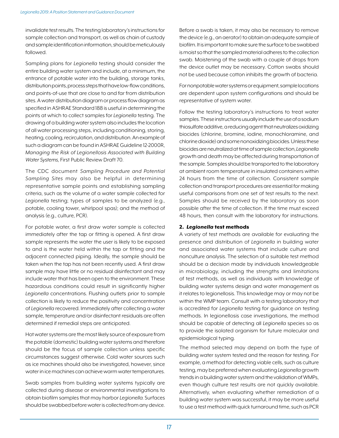invalidate test results. The testing laboratory's instructions for sample collection and transport, as well as chain of custody and sample identification information, should be meticulously followed.

Sampling plans for *Legionella* testing should consider the entire building water system and include, at a minimum, the entrance of potable water into the building, storage tanks, distribution points, process steps that have low-flow conditions, and points-of-use that are close to and far from distribution sites. A water distribution diagram or process flow diagram as specified in ASHRAE Standard 188 is useful in determining the points at which to collect samples for *Legionella* testing. The drawing of a building water system also includes the location of all water processing steps, including conditioning, storing, heating, cooling, recirculation, and distribution. An example of such a diagram can be found in ASHRAE Guideline 12-2000R, *Managing the Risk of Legionellosis Associated with Building Water Systems*, First Public Review Draft 70.

The CDC document *Sampling Procedure and Potential Sampling Sites* may also be helpful in determining representative sample points and establishing sampling criteria, such as the volume of a water sample collected for *Legionella* testing; types of samples to be analyzed (e.g., potable, cooling tower, whirlpool spas); and the method of analysis (e.g., culture, PCR).

For potable water, a first draw water sample is collected immediately after the tap or fitting is opened. A first draw sample represents the water the user is likely to be exposed to and is the water held within the tap or fitting and the adjacent connected piping. Ideally, the sample should be taken when the tap has not been recently used. A first draw sample may have little or no residual disinfectant and may include water that has been open to the environment. These hazardous conditions could result in significantly higher *Legionella* concentrations. Flushing outlets prior to sample collection is likely to reduce the positivity and concentration of *Legionella* recovered. Immediately after collecting a water sample, temperature and/or disinfectant residuals are often determined if remedial steps are anticipated.

Hot water systems are the most likely source of exposure from the potable (domestic) building water systems and therefore should be the focus of sample collection unless specific circumstances suggest otherwise. Cold water sources such as ice machines should also be investigated, however, since water in ice machines can achieve warm water temperatures.

Swab samples from building water systems typically are collected during disease or environmental investigations to obtain biofilm samples that may harbor *Legionella*. Surfaces should be swabbed before water is collected from any device. Before a swab is taken, it may also be necessary to remove the device (e.g., an aerator) to obtain an adequate sample of biofilm. It is important to make sure the surface to be swabbed is moist so that the sampled material adheres to the collection swab. Moistening of the swab with a couple of drops from the device outlet may be necessary. Cotton swabs should not be used because cotton inhibits the growth of bacteria.

For nonpotable water systems or equipment, sample locations are dependent upon system configurations and should be representative of system water.

Follow the testing laboratory's instructions to treat water samples. These instructions usually include the use of a sodium thiosulfate additive, a reducing agent that neutralizes oxidizing biocides (chlorine, bromine, iodine, monochloramine, and chlorine dioxide) and some nonoxidizing biocides. Unless these biocides are neutralized at time of sample collection, *Legionella* growth and death may be affected during transportation of the sample. Samples should be transported to the laboratory at ambient room temperature in insulated containers within 24 hours from the time of collection. Consistent sample collection and transport procedures are essential for making useful comparisons from one set of test results to the next. Samples should be received by the laboratory as soon possible after the time of collection. If the time must exceed 48 hours, then consult with the laboratory for instructions.

# 2. *Legionella* test methods

A variety of test methods are available for evaluating the presence and distribution of *Legionella* in building water and associated water systems that include culture and nonculture analysis. The selection of a suitable test method should be a decision made by individuals knowledgeable in microbiology, including the strengths and limitations of test methods, as well as individuals with knowledge of building water systems design and water management as it relates to legionellosis. This knowledge may or may not be within the WMP team. Consult with a testing laboratory that is accredited for *Legionella* testing for guidance on testing methods. In legionellosis case investigations, the method should be capable of detecting all *Legionella* species so as to provide the isolated organism for future molecular and epidemiological typing.

The method selected may depend on both the type of building water system tested and the reason for testing. For example, a method for detecting viable cells, such as culture testing, may be preferred when evaluating *Legionella* growth trends in a building water system and the validation of WMPs, even though culture test results are not quickly available. Alternatively, when evaluating whether remediation of a building water system was successful, it may be more useful to use a test method with quick turnaround time, such as PCR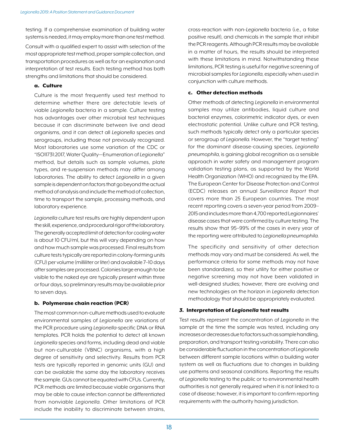testing. If a comprehensive examination of building water systems is needed, it may employ more than one test method.

Consult with a qualified expert to assist with selection of the most appropriate test method, proper sample collection, and transportation procedures as well as for an explanation and interpretation of test results. Each testing method has both strengths and limitations that should be considered.

## a. Culture

Culture is the most frequently used test method to determine whether there are detectable levels of viable *Legionella* bacteria in a sample. Culture testing has advantages over other microbial test techniques because it can discriminate between live and dead organisms, and it can detect all *Legionella* species and serogroups, including those not previously recognized. Most laboratories use some variation of the CDC or "ISO11731:2017, Water Quality—Enumeration of *Legionella*" method, but details such as sample volumes, plate types, and re-suspension methods may differ among laboratories. The ability to detect *Legionella* in a given sample is dependent on factors that go beyond the actual method of analysis and include the method of collection, time to transport the sample, processing methods, and laboratory experience.

*Legionella* culture test results are highly dependent upon the skill, experience, and procedural rigor of the laboratory. The generally accepted limit of detection for cooling water is about 10 CFU/ml, but this will vary depending on how and how much sample was processed. Final results from culture tests typically are reported in colony-forming units (CFU) per volume (milliliter or liter) and available 7–10 days after samples are processed. Colonies large enough to be visible to the naked eye are typically present within three or four days, so preliminary results may be available prior to seven days.

# b. Polymerase chain reaction (PCR)

The most common non-culture methods used to evaluate environmental samples of *Legionella* are variations of the PCR procedure using *Legionella*-specific DNA or RNA templates. PCR holds the potential to detect all known *Legionella* species and forms, including dead and viable but non-culturable (VBNC) organisms, with a high degree of sensitivity and selectivity. Results from PCR tests are typically reported in genomic units (GU) and can be available the same day the laboratory receives the sample. GUs cannot be equated with CFUs. Currently, PCR methods are limited because viable organisms that may be able to cause infection cannot be differentiated from nonviable *Legionella*. Other limitations of PCR include the inability to discriminate between strains, cross-reaction with non-*Legionella* bacteria (i.e., a false positive result), and chemicals in the sample that inhibit the PCR reagents. Although PCR results may be available in a matter of hours, the results should be interpreted with these limitations in mind. Notwithstanding these limitations, PCR testing is useful for negative screening of microbial samples for *Legionella*, especially when used in conjunction with culture methods.

# c. Other detection methods

Other methods of detecting *Legionella* in environmental samples may utilize antibodies, liquid culture and bacterial enzymes, colorimetric indicator dyes, or even electrostatic potential. Unlike culture and PCR testing, such methods typically detect only a particular species or serogroup of *Legionella*. However, the "target testing" for the dominant disease-causing species, *Legionella pneumophila*, is gaining global recognition as a sensible approach in water safety and management program validation testing plans, as supported by the World Health Organization (WHO) and recognized by the EPA. The European Center for Disease Protection and Control (ECDC) releases an annual *Surveillance Report* that covers more than 25 European countries. The most recent reporting covers a seven-year period from 2009– 2015 and includes more than 4,700 reported Legionnaires' disease cases that were confirmed by culture testing. The results show that 95–99% of the cases in every year of the reporting were attributed to *Legionella pneumophila*.

The specificity and sensitivity of other detection methods may vary and must be considered. As well, the performance criteria for some methods may not have been standardized, so their utility for either positive or negative screening may not have been validated in well-designed studies; however, there are evolving and new technologies on the horizon in *Legionella* detection methodology that should be appropriately evaluated.

# *3.* Interpretation of *Legionella* test results

Test results represent the concentration of *Legionella* in the sample at the time the sample was tested, including any increases or decreases due to factors such as sample handling, preparation, and transport testing variability. There can also be considerable fluctuation in the concentration of *Legionella* between different sample locations within a building water system as well as fluctuations due to changes in building use patterns and seasonal conditions. Reporting the results of *Legionella* testing to the public or to environmental health authorities is not generally required when it is not linked to a case of disease; however, it is important to confirm reporting requirements with the authority having jurisdiction.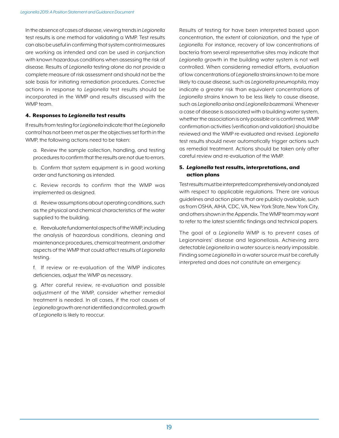In the absence of cases of disease, viewing trends in *Legionella* test results is one method for validating a WMP. Test results can also be useful in confirming that system control measures are working as intended and can be used in conjunction with known hazardous conditions when assessing the risk of disease. Results of *Legionella* testing alone do not provide a complete measure of risk assessment and should not be the sole basis for initiating remediation procedures. Corrective actions in response to *Legionella* test results should be incorporated in the WMP and results discussed with the WMP team.

## 4. Responses to *Legionella* test results

If results from testing for *Legionella* indicate that the *Legionella* control has not been met as per the objectives set forth in the WMP, the following actions need to be taken:

a. Review the sample collection, handling, and testing procedures to confirm that the results are not due to errors.

b. Confirm that system equipment is in good working order and functioning as intended.

c. Review records to confirm that the WMP was implemented as designed.

d. Review assumptions about operating conditions, such as the physical and chemical characteristics of the water supplied to the building.

e. Reevaluate fundamental aspects of the WMP, including the analysis of hazardous conditions, cleaning and maintenance procedures, chemical treatment, and other aspects of the WMP that could affect results of *Legionella* testing.

f. If review or re-evaluation of the WMP indicates deficiencies, adjust the WMP as necessary.

g. After careful review, re-evaluation and possible adjustment of the WMP, consider whether remedial treatment is needed. In all cases, if the root causes of *Legionella* growth are not identified and controlled, growth of *Legionella* is likely to reoccur.

Results of testing for have been interpreted based upon concentration, the extent of colonization, and the type of *Legionella*. For instance, recovery of low concentrations of bacteria from several representative sites may indicate that *Legionella* growth in the building water system is not well controlled. When considering remedial efforts, evaluation of low concentrations of *Legionella* strains known to be more likely to cause disease, such as *Legionella pneumophila*, may indicate a greater risk than equivalent concentrations of *Legionella* strains known to be less likely to cause disease, such as *Legionella anisa* and *Legionella bozemanii*. Whenever a case of disease is associated with a building water system, whether the association is only possible or is confirmed, WMP confirmation activities (verification and validation) should be reviewed and the WMP re-evaluated and revised. *Legionella* test results should never automatically trigger actions such as remedial treatment. Actions should be taken only after careful review and re-evaluation of the WMP.

# 5. *Legionella* test results, interpretations, and action plans

Test results must be interpreted comprehensively and analyzed with respect to applicable regulations. There are various guidelines and action plans that are publicly available, such as from OSHA, AIHA, CDC, VA, New York State, New York City, and others shown in the Appendix. The WMP team may want to refer to the latest scientific findings and technical papers.

The goal of a *Legionella* WMP is to prevent cases of Legionnaires' disease and legionellosis. Achieving zero detectable *Legionella* in a water source is nearly impossible. Finding some *Legionella* in a water source must be carefully interpreted and does not constitute an emergency.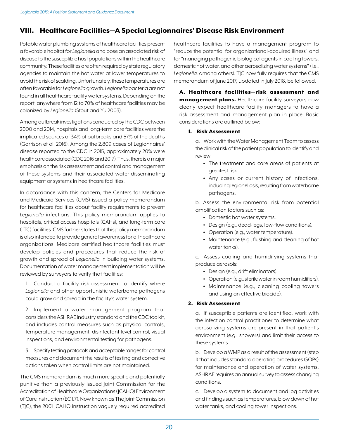# VIII. Healthcare Facilities—A Special Legionnaires' Disease Risk Environment

Potable water plumbing systems of healthcare facilities present a favorable habitat for *Legionella* and pose an associated risk of disease to the susceptible host populations within the healthcare community. These facilities are often required by state regulatory agencies to maintain the hot water at lower temperatures to avoid the risk of scalding. Unfortunately, these temperatures are often favorable for *Legionella* growth. *Legionella* bacteria are not found in all healthcare facility water systems. Depending on the report, anywhere from 12 to 70% of healthcare facilities may be colonized by *Legionella* (Stout and Yu 2003).

Among outbreak investigations conducted by the CDC between 2000 and 2014, hospitals and long-term care facilities were the implicated sources of 34% of outbreaks and 57% of the deaths (Garrison et al. 2016). Among the 2,809 cases of Legionnaires' disease reported to the CDC in 2015, approximately 20% were healthcare associated (CDC 2016 and 2017). Thus, there is a major emphasis on the risk assessment and control and management of these systems and their associated water-disseminating equipment or systems in healthcare facilities.

In accordance with this concern, the Centers for Medicare and Medicaid Services (CMS) issued a policy memorandum for healthcare facilities about facility requirements to prevent *Legionella* infections. This policy memorandum applies to hospitals, critical access hospitals (CAHs), and long-term care (LTC) facilities. CMS further states that this policy memorandum is also intended to provide general awareness for all healthcare organizations. Medicare certified healthcare facilities must develop policies and procedures that reduce the risk of growth and spread of *Legionella* in building water systems. Documentation of water management implementation will be reviewed by surveyors to verify that facilities:

1. Conduct a facility risk assessment to identify where *Legionella* and other opportunistic waterborne pathogens could grow and spread in the facility's water system.

2. Implement a water management program that considers the ASHRAE industry standard and the CDC toolkit, and includes control measures such as physical controls, temperature management, disinfectant level control, visual inspections, and environmental testing for pathogens.

3. Specify testing protocols and acceptable ranges for control measures and document the results of testing and corrective actions taken when control limits are not maintained.

The CMS memorandum is much more specific and potentially punitive than a previously issued Joint Commission for the Accreditation of Healthcare Organizations (JCAHO) Environment of Care instruction (EC 1.7). Now known as The Joint Commission (TJC), the 2001 JCAHO instruction vaguely required accredited healthcare facilities to have a management program to "reduce the potential for organizational-acquired illness" and for "managing pathogenic biological agents in cooling towers, domestic hot water, and other aerosolizing water systems" (i.e., *Legionella*, among others). TJC now fully requires that the CMS memorandum of June 2017, updated in July 2018, be followed.

A. Healthcare facilities—risk assessment and management plans. Healthcare facility surveyors now clearly expect healthcare facility managers to have a risk assessment and management plan in place. Basic considerations are outlined below:

# 1. Risk Assessment

a. Work with the Water Management Team to assess the clinical risk of the patient population to identify and review:

- The treatment and care areas of patients at greatest risk.
- Any cases or current history of infections, including legionellosis, resulting from waterborne pathogens.

b. Assess the environmental risk from potential amplification factors such as:

- Domestic hot water systems.
- Design (e.g., dead-legs, low-flow conditions).
- Operation (e.g., water temperature).
- Maintenance (e.g., flushing and cleaning of hot water tanks).

c. Assess cooling and humidifying systems that produce aerosols:

- Design (e.g., drift eliminators).
- Operation (e.g., sterile water in room humidifiers).
- Maintenance (e.g., cleaning cooling towers and using an effective biocide).

# 2. Risk Assessment

a. If susceptible patients are identified, work with the infection control practitioner to determine what aerosolizing systems are present in that patient's environment (e.g., showers) and limit their access to these systems.

b. Develop a WMP as a result of the assessment (step 1) that includes standard operating procedures (SOPs) for maintenance and operation of water systems. ASHRAE requires an annual survey to assess changing conditions.

c. Develop a system to document and log activities and findings such as temperatures, blow down of hot water tanks, and cooling tower inspections.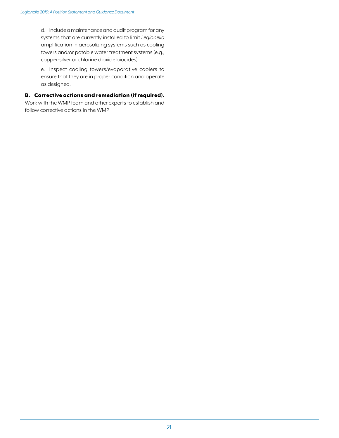d. Include a maintenance and audit program for any systems that are currently installed to limit *Legionella* amplification in aerosolizing systems such as cooling towers and/or potable water treatment systems (e.g., copper-silver or chlorine dioxide biocides).

e. Inspect cooling towers/evaporative coolers to ensure that they are in proper condition and operate as designed.

## B. Corrective actions and remediation (if required).

Work with the WMP team and other experts to establish and follow corrective actions in the WMP.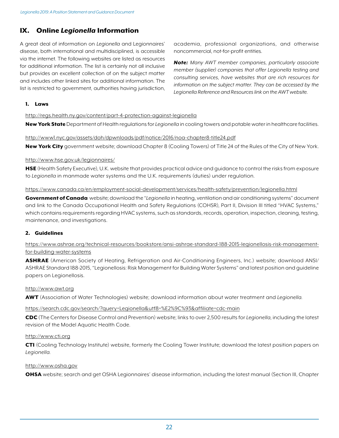# IX. Online *Legionella* Information

A great deal of information on *Legionella* and Legionnaires' disease, both international and multidisciplined, is accessible via the internet. The following websites are listed as resources for additional information. The list is certainly not all inclusive but provides an excellent collection of on the subject matter and includes other linked sites for additional information. The list is restricted to government, authorities having jurisdiction, academia, professional organizations, and otherwise noncommercial, not-for-profit entities.

*Note: Many AWT member companies, particularly associate member (supplier) companies that offer Legionella testing and consulting services, have websites that are rich resources for information on the subject matter. They can be accessed by the Legionella Reference and Resources link on the AWT website.*

#### 1. Laws

http://regs.health.ny.gov/content/part-4-protection-against-legionella

New York State Department of Health regulations for *Legionella* in cooling towers and potable water in healthcare facilities.

#### http://www1.nyc.gov/assets/doh/dpwnloads/pdf/notice/2016/noa-chapter8-title24.pdf

New York City government website; download Chapter 8 (Cooling Towers) of Title 24 of the Rules of the City of New York.

#### http://www.hse.gov.uk/legionnaires/

**HSE** (Health Safety Executive), U.K. website that provides practical advice and guidance to control the risks from exposure to *Legionella* in manmade water systems and the U.K. requirements (duties) under regulation.

#### https://www.canada.ca/en/employment-social-development/services/health-safety/prevention/legionella.html

Government of Canada website; download the "*Legionella* in heating, ventilation and air conditioning systems" document and link to the Canada Occupational Health and Safety Regulations (COHSR), Part II, Division III titled "HVAC Systems," which contains requirements regarding HVAC systems, such as standards, records, operation, inspection, cleaning, testing, maintenance, and investigations.

## 2. Guidelines

# https://www.ashrae.org/technical-resources/bookstore/ansi-ashrae-standard-188-2015-legionellosis-risk-managementfor-building-water-systems

ASHRAE (American Society of Heating, Refrigeration and Air-Conditioning Engineers, Inc.) website; download ANSI/ ASHRAE Standard 188-2015, "Legionellosis: Risk Management for Building Water Systems" and latest position and guideline papers on Legionellosis.

#### http://www.awt.org

AWT (Association of Water Technologies) website; download information about water treatment and *Legionella*.

## https://search.cdc.gov/search/?query=Legionella&utf8=%E2%9C%93&affiliate=cdc-main

CDC (The Centers for Disease Control and Prevention) website; links to over 2,500 results for *Legionella*, including the latest revision of the Model Aquatic Health Code.

#### http://www.cti.org

CTI (Cooling Technology Institute) website, formerly the Cooling Tower Institute; download the latest position papers on *Legionella*.

#### http://www.osha.gov

OHSA website; search and get OSHA Legionnaires' disease information, including the latest manual (Section III, Chapter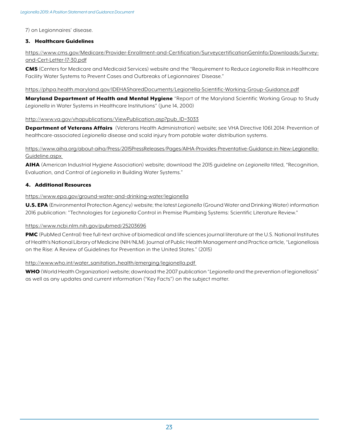7) on Legionnaires' disease.

## 3. Healthcare Guidelines

https://www.cms.gov/Medicare/Provider-Enrollment-and-Certification/SurveycertificationGenInfo/Downloads/Surveyand-Cert-Letter-17-30.pdf

CMS (Centers for Medicare and Medicaid Services) website and the "Requirement to Reduce *Legionella* Risk in Healthcare Facility Water Systems to Prevent Cases and Outbreaks of Legionnaires' Disease."

#### https://phpa.health.maryland.gov/IDEHASharedDocuments/Legionella-Scientific-Working-Group-Guidance.pdf

Maryland Department of Health and Mental Hygiene "Report of the Maryland Scientific Working Group to Study *Legionella* in Water Systems in Healthcare Institutions" (June 14, 2000)

## http://www.va.gov/vhapublications/ViewPublication.asp?pub\_ID=3033

Department of Veterans Affairs (Veterans Health Administration) website; see VHA Directive 1061.2014: Prevention of healthcare-associated *Legionella* disease and scald injury from potable water distribution systems.

# https://www.aiha.org/about-aiha/Press/2015PressReleases/Pages/AIHA-Provides-Preventative-Guidance-in-New-Legionella-Guideline.aspx

AIHA (American Industrial Hygiene Association) website; download the 2015 guideline on *Legionella* titled, "Recognition, Evaluation, and Control of *Legionella* in Building Water Systems."

## 4. Additional Resources

## https://www.epa.gov/ground-water-and-drinking-water/legionella

U.S. EPA (Environmental Protection Agency) website; the latest *Legionella* (Ground Water and Drinking Water) information 2016 publication: "Technologies for *Legionella* Control in Premise Plumbing Systems: Scientific Literature Review."

## https://www.ncbi.nlm.nih.gov/pubmed/25203696

PMC (PubMed Central) free full-text archive of biomedical and life sciences journal literature at the U.S. National Institutes of Health's National Library of Medicine (NIH/NLM). Journal of Public Health Management and Practice article, "Legionellosis on the Rise: A Review of Guidelines for Prevention in the United States." (2015)

## http://www.who.int/water\_sanitation\_health/emerging/legionella.pdf

WHO (World Health Organization) website; download the 2007 publication "*Legionella* and the prevention of legionellosis" as well as any updates and current information ("Key Facts") on the subject matter.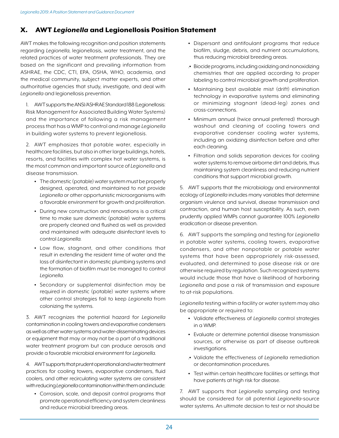# X. AWT *Legionella* and Legionellosis Position Statement

AWT makes the following recognition and position statements regarding *Legionella*, legionellosis, water treatment, and the related practices of water treatment professionals. They are based on the significant and prevailing information from ASHRAE, the CDC, CTI, EPA, OSHA, WHO, academia, and the medical community, subject matter experts, and other authoritative agencies that study, investigate, and deal with *Legionella* and legionellosis prevention.

1. AWT supports the ANSI/ASHRAE Standard 188 (Legionellosis: Risk Management for Associated Building Water Systems) and the importance of following a risk management process that has a WMP to control and manage *Legionella* in building water systems to prevent legionellosis.

2. AWT emphasizes that potable water, especially in healthcare facilities, but also in other large buildings, hotels, resorts, and facilities with complex hot water systems, is the most common and important source of *Legionella* and disease transmission.

- The domestic (potable) water system must be properly designed, operated, and maintained to not provide *Legionella* or other opportunistic microorganisms with a favorable environment for growth and proliferation.
- During new construction and renovations is a critical time to make sure domestic (potable) water systems are properly cleaned and flushed as well as provided and maintained with adequate disinfectant levels to control *Legionella*.
- Low flow, stagnant, and other conditions that result in extending the resident time of water and the loss of disinfectant in domestic plumbing systems and the formation of biofilm must be managed to control *Legionella*.
- Secondary or supplemental disinfection may be required in domestic (potable) water systems where other control strategies fail to keep *Legionella* from colonizing the systems.

3. AWT recognizes the potential hazard for *Legionella* contamination in cooling towers and evaporative condensers as well as other water systems and water-disseminating devices or equipment that may or may not be a part of a traditional water treatment program but can produce aerosols and provide a favorable microbial environment for *Legionella*.

4. AWT supports that prudent operational and water treatment practices for cooling towers, evaporative condensers, fluid coolers, and other recirculating water systems are consistent with reducing *Legionella* contamination within them and include:

• Corrosion, scale, and deposit control programs that promote operational efficiency and system cleanliness and reduce microbial breeding areas.

- Dispersant and antifoulant programs that reduce biofilm, sludge, debris, and nutrient accumulations, thus reducing microbial breeding areas.
- .• Biocide programs, including oxidizing and nonoxidizing chemistries that are applied according to proper labeling to control microbial growth and proliferation.
- Maintaining best available mist (drift) elimination technology in evaporative systems and eliminating or minimizing stagnant (dead-leg) zones and cross-connections.
- Minimum annual (twice annual preferred) thorough washout and cleaning of cooling towers and evaporative condenser cooling water systems, including an oxidizing disinfection before and after each cleaning.
- Filtration and solids separation devices for cooling water systems to remove airborne dirt and debris, thus maintaining system cleanliness and reducing nutrient conditions that support microbial growth.

5. AWT supports that the microbiology and environmental ecology of *Legionella* includes many variables that determine organism virulence and survival, disease transmission and contraction, and human host susceptibility. As such, even prudently applied WMPs cannot guarantee 100% *Legionella* eradication or disease prevention.

6. AWT supports the sampling and testing for *Legionella* in potable water systems, cooling towers, evaporative condensers, and other nonpotable or potable water systems that have been appropriately risk-assessed, evaluated, and determined to pose disease risk or are otherwise required by regulation. Such recognized systems would include those that have a likelihood of harboring *Legionella* and pose a risk of transmission and exposure to at-risk populations.

*Legionella* testing within a facility or water system may also be appropriate or required to:

- Validate effectiveness of *Legionella* control strategies in a WMP.
- Evaluate or determine potential disease transmission sources, or otherwise as part of disease outbreak investigations.
- .• Validate the effectiveness of *Legionella* remediation or decontamination procedures.
- Test within certain healthcare facilities or settings that have patients at high risk for disease.

7. AWT supports that *Legionella* sampling and testing should be considered for all potential *Legionella*-source water systems. An ultimate decision to test or not should be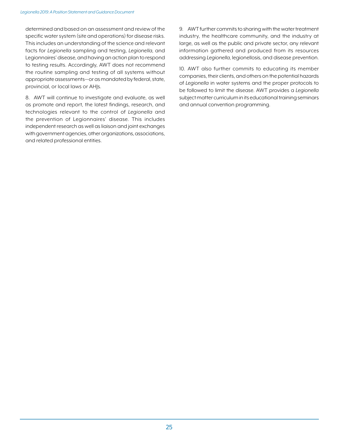determined and based on an assessment and review of the specific water system (site and operations) for disease risks. This includes an understanding of the science and relevant facts for *Legionella* sampling and testing, *Legionella*, and Legionnaires' disease, and having an action plan to respond to testing results. Accordingly, AWT does not recommend the routine sampling and testing of all systems without appropriate assessments—or as mandated by federal, state, provincial, or local laws or AHJs.

8. AWT will continue to investigate and evaluate, as well as promote and report, the latest findings, research, and technologies relevant to the control of *Legionella* and the prevention of Legionnaires' disease. This includes independent research as well as liaison and joint exchanges with government agencies, other organizations, associations, and related professional entities.

9. AWT further commits to sharing with the water treatment industry, the healthcare community, and the industry at large, as well as the public and private sector, any relevant information gathered and produced from its resources addressing *Legionella*, legionellosis, and disease prevention.

10. AWT also further commits to educating its member companies, their clients, and others on the potential hazards of *Legionella* in water systems and the proper protocols to be followed to limit the disease. AWT provides a *Legionella* subject matter curriculum in its educational training seminars and annual convention programming.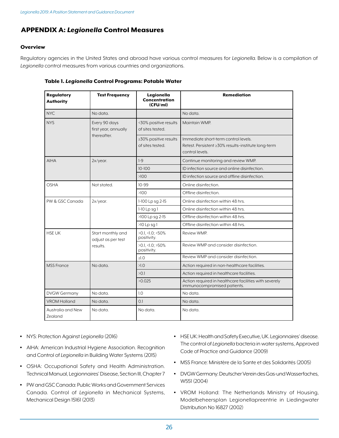# APPENDIX A: *Legionella* Control Measures

## **Overview**

Regulatory agencies in the United States and abroad have various control measures for *Legionella*. Below is a compilation of *Legionella* control measures from various countries and organizations.

| <b>Regulatory</b><br><b>Authority</b> | <b>Test Frequency</b>                                | Legionella<br><b>Concentration</b><br>(CFU/ml) | <b>Remediation</b>                                                                                             |
|---------------------------------------|------------------------------------------------------|------------------------------------------------|----------------------------------------------------------------------------------------------------------------|
| <b>NYC</b>                            | No data.                                             |                                                | No data.                                                                                                       |
| <b>NYS</b>                            | Every 90 days<br>first year, annually<br>thereafter. | <30% positive results<br>of sites tested.      | Maintain WMP.                                                                                                  |
|                                       |                                                      | ≥30% positive results<br>of sites tested.      | Immediate short-term control levels.<br>Retest. Persistent ≥30% results-institute long-term<br>control levels. |
| <b>AIHA</b>                           | 2x/year.                                             | $1-9$                                          | Continue monitoring and review WMP.                                                                            |
|                                       |                                                      | $10 - 100$                                     | ID infection source and online disinfection.                                                                   |
|                                       |                                                      | >100                                           | ID infection source and offline disinfection.                                                                  |
| <b>OSHA</b>                           | Not stated.                                          | $10 - 99$                                      | Online disinfection.                                                                                           |
|                                       |                                                      | >100                                           | Offline disinfection.                                                                                          |
| PW & GSC Canada                       | $2x/year$ .                                          | 1-100 Lp sq 2-15                               | Online disinfection within 48 hrs.                                                                             |
|                                       |                                                      | $1-10$ Lp sq $1$                               | Online disinfection within 48 hrs.                                                                             |
|                                       |                                                      | >100 Lp sq 2-15                                | Offline disinfection within 48 hrs.                                                                            |
|                                       |                                                      | >10 Lp sg 1                                    | Offline disinfection within 48 hrs.                                                                            |
| <b>HSE UK</b>                         | Start monthly and<br>adjust as per test<br>results.  | $>0.1,$ <1.0; <50%<br>positivity.              | Review WMP.                                                                                                    |
|                                       |                                                      | $>0.1, 1.0; 50\%$<br>positivity.               | Review WMP and consider disinfection.                                                                          |
|                                       |                                                      | >1.0                                           | Review WMP and consider disinfection.                                                                          |
| <b>MSS</b> France                     | No data.                                             | >1.0                                           | Action required in non-healthcare facilities.                                                                  |
|                                       |                                                      | >0.1                                           | Action required in healthcare facilities.                                                                      |
|                                       |                                                      | >0.025                                         | Action required in healthcare facilities with severely<br>immunocompromised patients.                          |
| <b>DVGW Germany</b>                   | No data.                                             | 1.0                                            | No data.                                                                                                       |
| <b>VROM Holland</b>                   | No data.                                             | 0.1                                            | No data.                                                                                                       |
| Australia and New<br>Zealand          | No data.                                             | No data.                                       | No data.                                                                                                       |

#### Table 1. *Legionella* Control Programs: Potable Water

- NYS: Protection Against *Legionella* (2016)
- AIHA: American Industrial Hygiene Association. Recognition and Control of *Legionella* in Building Water Systems (2015)
- OSHA: Occupational Safety and Health Administration. Technical Manual, Legionnaires' Disease, Section III, Chapter 7
- PW and GSC Canada: Public Works and Government Services Canada. Control of *Legionella* in Mechanical Systems, Mechanical Design 15161 (2013)
- HSE UK: Health and Safety Executive, UK. Legionnaires' disease. The control of *Legionella* bacteria in water systems, Approved Code of Practice and Guidance (2009)
- MSS France: Ministère de la Sante et des Solidarités (2005)
- DVGW Germany: Deutscher Verein des Gas-und Wasserfaches, W551 (2004)
- VROM Holland: The Netherlands Ministry of Housing, Modelbeheersplan Legionellapreentrie in Liedingwater Distribution No 16827 (2002)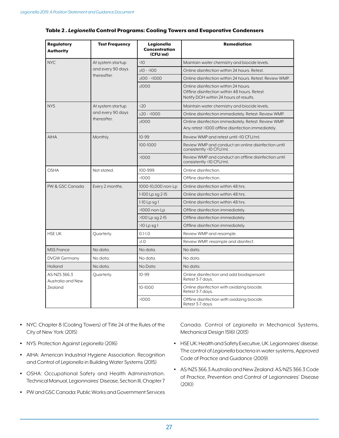| <b>Regulatory</b><br><b>Authority</b> | <b>Test Frequency</b>                                 | Legionella<br><b>Concentration</b><br>(CFU/ml) | <b>Remediation</b>                                                                                                              |
|---------------------------------------|-------------------------------------------------------|------------------------------------------------|---------------------------------------------------------------------------------------------------------------------------------|
| <b>NYC</b>                            | At system startup                                     | $\triangleleft$ 10                             | Maintain water chemistry and biocide levels.                                                                                    |
|                                       | and every 90 days<br>thereafter.                      | $>10 - 100$                                    | Online disinfection within 24 hours. Retest.                                                                                    |
|                                       |                                                       | $\geq 100 - 1000$                              | Online disinfection within 24 hours. Retest, Review WMP.                                                                        |
|                                       |                                                       | $\geq 1000$                                    | Online disinfection within 24 hours.<br>Offline disinfection within 48 hours. Retest.<br>Notify DOH within 24 hours of results. |
| <b>NYS</b>                            | At system startup<br>and every 90 days<br>thereafter. | &520                                           | Maintain water chemistry and biocide levels.                                                                                    |
|                                       |                                                       | $>20 - 1000$                                   | Online disinfection immediately. Retest. Review WMP.                                                                            |
|                                       |                                                       | $\geq 1000$                                    | Online disinfection immediately. Retest. Review WMP.<br>Any retest >1000 offline disinfection immediately.                      |
| <b>AIHA</b>                           | Monthly.                                              | $10-99$                                        | Review WMP and retest until <10 CFU/ml.                                                                                         |
|                                       |                                                       | 100-1000                                       | Review WMP and conduct an online disinfection until<br>consistently <10 CFU/ml.                                                 |
|                                       |                                                       | >1000                                          | Review WMP and conduct an offline disinfection until<br>consistently <10 CFU/ml.                                                |
| <b>OSHA</b>                           | Not stated.                                           | 100-999                                        | Online disinfection.                                                                                                            |
|                                       |                                                       | >1000                                          | Offline disinfection.                                                                                                           |
| PW & GSC Canada                       | Every 2 months.                                       | 1000-10,000 non-Lp                             | Online disinfection within 48 hrs.                                                                                              |
|                                       |                                                       | 1-100 Lp sq 2-15                               | Online disinfection within 48 hrs.                                                                                              |
|                                       |                                                       | $1-10$ Lp sq $1$                               | Online disinfection within 48 hrs.                                                                                              |
|                                       |                                                       | >1000 non-Lp                                   | Offline disinfection immediately.                                                                                               |
|                                       |                                                       | >100 Lp sq 2-15                                | Offline disinfection immediately.                                                                                               |
|                                       |                                                       | $>10$ Lp sg $1$                                | Offline disinfection immediately.                                                                                               |
| <b>HSE UK</b>                         | Quarterly.                                            | $0.1 - 1.0$                                    | Review WMP and resample.                                                                                                        |
|                                       |                                                       | $\geq$ 1.0                                     | Review WMP, resample and disinfect.                                                                                             |
| <b>MSS France</b>                     | No data.                                              | No data.                                       | No data.                                                                                                                        |
| <b>DVGW Germany</b>                   | No data.                                              | No data.                                       | No data.                                                                                                                        |
| Holland                               | No data.                                              | No Data                                        | No data.                                                                                                                        |
| AS/NZS 366.3<br>Australia and New     | Quarterly.                                            | $10-99$                                        | Online disinfection and add biodispersant.<br>Retest 3-7 days.                                                                  |
| Zealand                               |                                                       | 10-1000                                        | Online disinfection with oxidizing biocide.<br>Retest 3-7 days.                                                                 |
|                                       |                                                       | >1000                                          | Offline disinfection with oxidizing biocide.<br>Retest 3-7 days.                                                                |

#### Table 2 *. Legionella* Control Programs: Cooling Towers and Evaporative Condensers

- NYC: Chapter 8 (Cooling Towers) of Title 24 of the Rules of the City of New York (2015)
- NYS: Protection Against *Legionella* (2016)
- AIHA: American Industrial Hygiene Association. Recognition and Control of *Legionella* in Building Water Systems (2015)
- OSHA: Occupational Safety and Health Administration. Technical Manual, Legionnaires' Disease, Section III, Chapter 7
- PW and GSC Canada: Public Works and Government Services

Canada. Control of *Legionella* in Mechanical Systems, Mechanical Design 15161 (2013)

- HSE UK: Health and Safety Executive, UK. Legionnaires' disease. The control of *Legionella* bacteria in water systems, Approved Code of Practice and Guidance (2009)
- AS/NZS 366.3 Australia and New Zealand: AS/NZS 366.3 Code of Practice, Prevention and Control of Legionnaires' Disease (2010)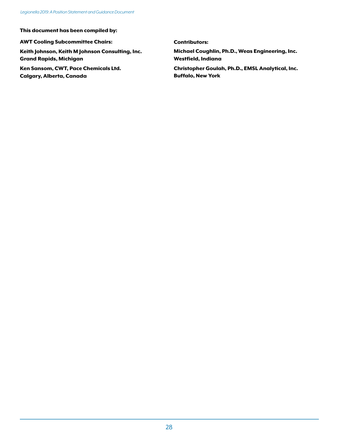This document has been compiled by:

AWT Cooling Subcommittee Chairs:

Keith Johnson, Keith M Johnson Consulting, Inc. Grand Rapids, Michigan

Ken Sansom, CWT, Pace Chemicals Ltd. Calgary, Alberta, Canada

Contributors:

Michael Coughlin, Ph.D., Weas Engineering, Inc. Westfield, Indiana

Christopher Goulah, Ph.D., EMSL Analytical, Inc. Buffalo, New York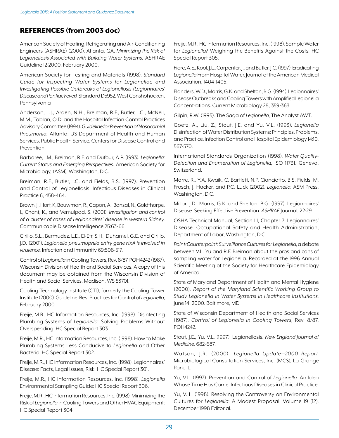# REFERENCES (from 2003 doc)

American Society of Heating, Refrigerating and Air-Conditioning Engineers (ASHRAE) (2000), Atlanta, GA. *Minimizing the Risk of Legionellosis Associated with Building Water Systems.* ASHRAE Guideline 12-2000, February 2000.

American Society for Testing and Materials (1998). *Standard Guide for Inspecting Water Systems for Legionellae and Investigating Possible Outbreaks of Legionellosis (Legionnaires' Disease and Pontiac Fever).* Standard D5952. West Conshohocken, Pennsylvania

Anderson, L.J., Arden, N.H., Breiman, R.F., Butler, J.C., McNeil, M.M., Tablan, O.D. and the Hospital Infection Control Practices Advisory Committee (1994). *Guideline for Prevention of Nosocomial Pneumonia.* Atlanta: US Department of Health and Human Services, Public Health Service, Centers for Disease Control and Prevention.

Barbaree, J.M., Breiman, R.F. and Dufour, A.P. (1993). *Legionella: Current Status and Emerging Perspectives.* American Society for Microbiology, (ASM), Washington, D.C.

Breiman, R.F., Butler, J.C. and Fields, B.S. (1997). Prevention and Control of Legionellosis. Infectious Diseases in Clinical Practice 6, 458-464.

Brown, J., Hort, K, Bouwman, R., Capon, A., Bansal, N., Goldthorpe, I., Chant, K., and Vemulpad, S. (2001). *Investigation and control of a cluster of cases of Legionnaires' disease in western Sidney.*  Communicable Disease Intelligence 25:63-66.

Cirillo, S.L., Bermudez, L.E., El-Etr, S.H., Duhamel, G.E, and Cirillo, J.D. (2001). *Legionella pneumophila entry gene rtxA is involved in virulence*. Infection and Immunity 69:508-517.

Control of *Legionella* in Cooling Towers, Rev. 8/87, POH4242 (1987). Wisconsin Division of Health and Social Services. A copy of this document may be obtained from the Wisconsin Division of Health and Social Services, Madison, WS 53701.

Cooling Technology Institute (CTI), formerly the Cooling Tower Institute (2000). Guideline: Best Practices for Control of *Legionella*, February 2000.

Freije, M.R., HC Information Resources, Inc. (1998). Disinfecting Plumbing Systems of *Legionella*: Solving Problems Without Overspending: HC Special Report 303.

Freije, M.R., HC Information Resources, Inc. (1998). How to Make Plumbing Systems Less Conducive to *Legionella* and Other Bacteria: HC Special Report 302.

Freije, M.R., HC Information Resources, Inc. (1998). Legionnaires' Disease: Facts, Legal Issues, Risk: HC Special Report 301.

Freije, M.R., HC Information Resources, Inc. (1998). *Legionella* Environmental Sampling Guide: HC Special Report 306.

Freije, M.R., HC Information Resources, Inc. (1998). Minimizing the Risk of *Legionella* in Cooling Towers and Other HVAC Equipment: HC Special Report 304.

Freije, M.R., HC Information Resources, Inc. (1998). Sample Water for *Legionella*? Weighing the Benefits Against the Costs: HC Special Report 305.

Fiore, A.E., Kool, J.L., Carpenter, J., and Butler, J.C. (1997). Eradicating *Legionella* From Hospital Water. Journal of the American Medical Association, 1404-1405.

Flanders, W.D., Morris, G.K. and Shelton, B.G. (1994). Legionnaires' Disease Outbreaks and Cooling Towers with Amplified Legionella Concentrations. Current Microbiology 28, 359-363.

Gilpin, R.W. (1995). The Saga of *Legionella*, The Analyst AWT.

Goetz, A., Liu, Z., Stout, J.E. and Yu, V.L. (1993). *Legionella* Disinfection of Water Distribution Systems: Principles, Problems, and Practice. Infection Control and Hospital Epidemiology 14:10, 567-570.

International Standards Organization (1998). *Water Quality-Detection and Enumeration of Legionella*, ISO 11731. Geneva, Switzerland.

Marre, R., Y.A. Kwaik, C. Bartlett, N.P. Cianciotto, B.S. Fields, M. Frosch, J. Hacker, and P.C. Luck (2002). *Legionella*. ASM Press, Washington, D.C.

Millar, J.D., Morris, G.K. and Shelton, B.G. (1997). Legionnaires' Disease: Seeking Effective Prevention. *ASHRAE* Journal, 22-29.

OSHA Technical Manual, Section III, Chapter 7: Legionnaires' Disease. Occupational Safety and Health Administration, Department of Labor, Washington, D.C.

*Point/Counterpoint: Surveillance Cultures for Legionella*, a debate between V.L. Yu and R.F. Breiman about the pros and cons of sampling water for Legionella. Recorded at the 1996 Annual Scientific Meeting of the Society for Healthcare Epidemiology of America.

State of Maryland Department of Health and Mental Hygiene (2000). *Report of the Maryland Scientific Working Group to Study Legionella in Water Systems in Healthcare Institutions*. June 14, 2000. Baltimore, MD

State of Wisconsin Department of Health and Social Services (1987). *Control of Legionella in Cooling Towers*, Rev. 8/87, POH4242.

Stout, J.E., Yu, V.L. (1997). Legionellosis. *New England Journal of Medicine*, 682-687.

Watson, J.R. (2000). *Legionella Update—2000 Report*. Microbiological Consultation Services, Inc. (MCS), La Grange Park, IL.

Yu, V.L. (1997). Prevention and Control of *Legionella*: An Idea Whose Time Has Come. Infectious Diseases in Clinical Practice.

Yu, V. L. (1998). Resolving the Controversy on Environmental Cultures for *Legionella*: A Modest Proposal, Volume 19 (12), December 1998 Editorial.